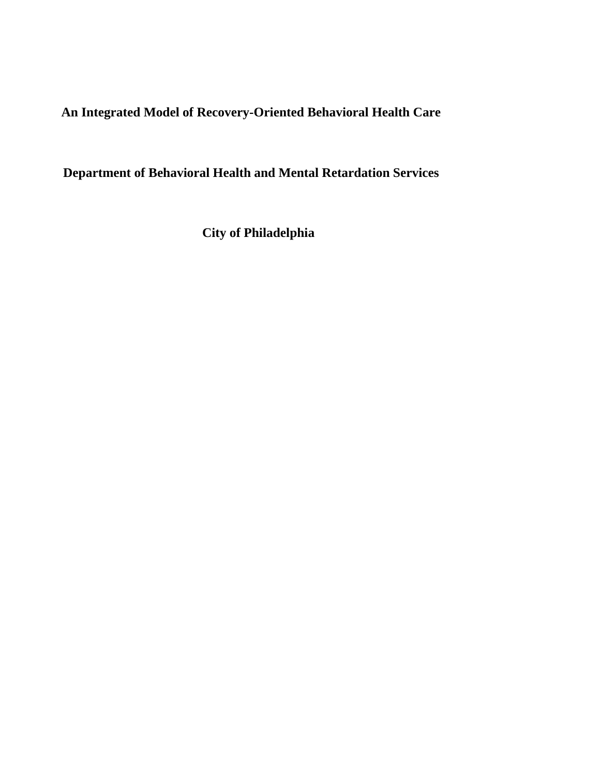**An Integrated Model of Recovery-Oriented Behavioral Health Care** 

**Department of Behavioral Health and Mental Retardation Services** 

**City of Philadelphia**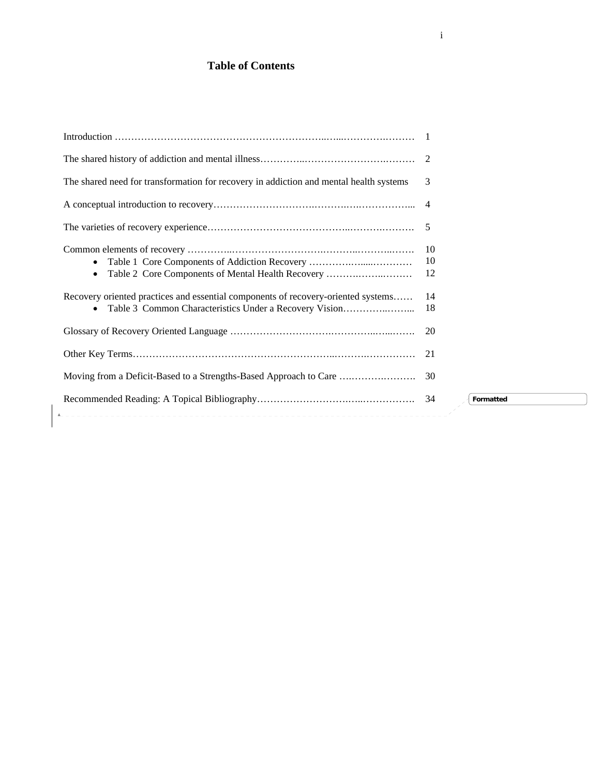# **Table of Contents**

| The shared need for transformation for recovery in addiction and mental health systems | 3         |
|----------------------------------------------------------------------------------------|-----------|
|                                                                                        |           |
|                                                                                        |           |
|                                                                                        | -10       |
|                                                                                        | 10        |
| Table 2 Core Components of Mental Health Recovery                                      | 12        |
| Recovery oriented practices and essential components of recovery-oriented systems      | 14        |
| $\bullet$                                                                              | 18        |
|                                                                                        | 20        |
|                                                                                        | 21        |
| Moving from a Deficit-Based to a Strengths-Based Approach to Care                      | 30        |
|                                                                                        | Formatted |
|                                                                                        |           |

┐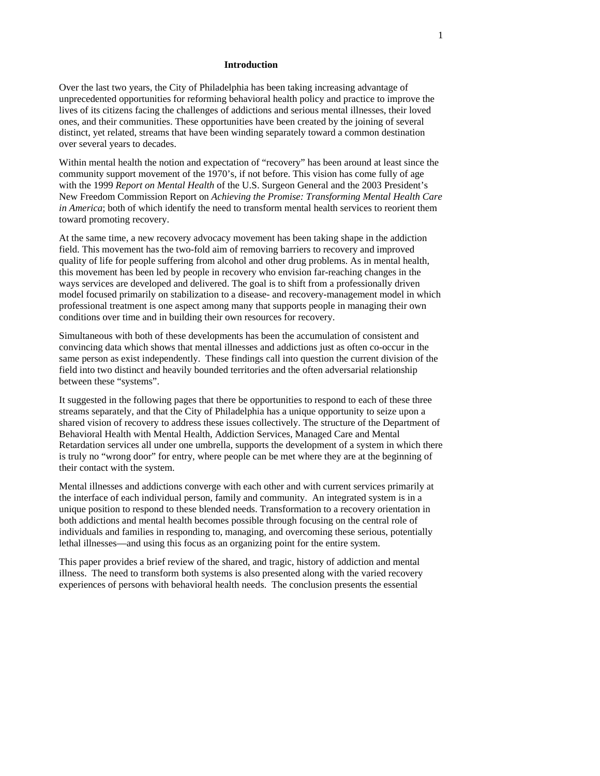# **Introduction**

Over the last two years, the City of Philadelphia has been taking increasing advantage of unprecedented opportunities for reforming behavioral health policy and practice to improve the lives of its citizens facing the challenges of addictions and serious mental illnesses, their loved ones, and their communities. These opportunities have been created by the joining of several distinct, yet related, streams that have been winding separately toward a common destination over several years to decades.

Within mental health the notion and expectation of "recovery" has been around at least since the community support movement of the 1970's, if not before. This vision has come fully of age with the 1999 *Report on Mental Health* of the U.S. Surgeon General and the 2003 President's New Freedom Commission Report on *Achieving the Promise: Transforming Mental Health Care in America*; both of which identify the need to transform mental health services to reorient them toward promoting recovery.

At the same time, a new recovery advocacy movement has been taking shape in the addiction field. This movement has the two-fold aim of removing barriers to recovery and improved quality of life for people suffering from alcohol and other drug problems. As in mental health, this movement has been led by people in recovery who envision far-reaching changes in the ways services are developed and delivered. The goal is to shift from a professionally driven model focused primarily on stabilization to a disease- and recovery-management model in which professional treatment is one aspect among many that supports people in managing their own conditions over time and in building their own resources for recovery.

Simultaneous with both of these developments has been the accumulation of consistent and convincing data which shows that mental illnesses and addictions just as often co-occur in the same person as exist independently. These findings call into question the current division of the field into two distinct and heavily bounded territories and the often adversarial relationship between these "systems".

It suggested in the following pages that there be opportunities to respond to each of these three streams separately, and that the City of Philadelphia has a unique opportunity to seize upon a shared vision of recovery to address these issues collectively. The structure of the Department of Behavioral Health with Mental Health, Addiction Services, Managed Care and Mental Retardation services all under one umbrella, supports the development of a system in which there is truly no "wrong door" for entry, where people can be met where they are at the beginning of their contact with the system.

Mental illnesses and addictions converge with each other and with current services primarily at the interface of each individual person, family and community. An integrated system is in a unique position to respond to these blended needs. Transformation to a recovery orientation in both addictions and mental health becomes possible through focusing on the central role of individuals and families in responding to, managing, and overcoming these serious, potentially lethal illnesses—and using this focus as an organizing point for the entire system.

This paper provides a brief review of the shared, and tragic, history of addiction and mental illness. The need to transform both systems is also presented along with the varied recovery experiences of persons with behavioral health needs. The conclusion presents the essential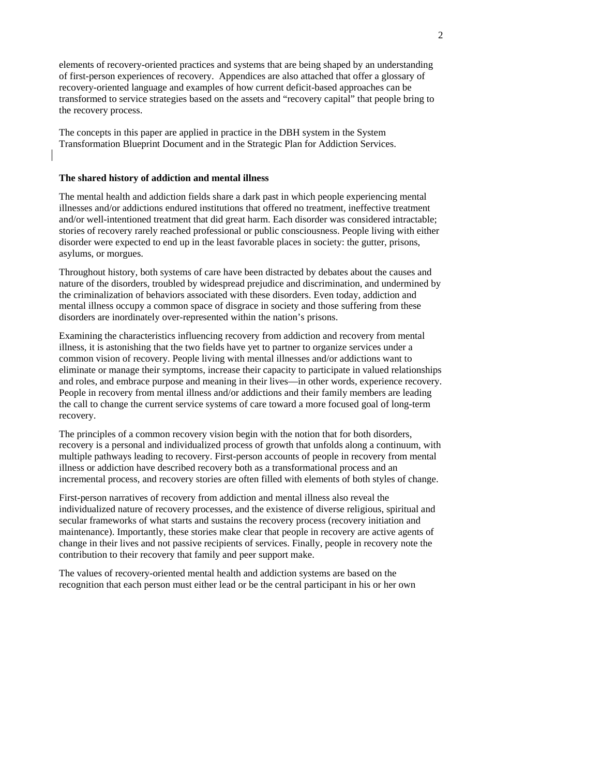elements of recovery-oriented practices and systems that are being shaped by an understanding of first-person experiences of recovery. Appendices are also attached that offer a glossary of recovery-oriented language and examples of how current deficit-based approaches can be transformed to service strategies based on the assets and "recovery capital" that people bring to the recovery process.

The concepts in this paper are applied in practice in the DBH system in the System Transformation Blueprint Document and in the Strategic Plan for Addiction Services.

# **The shared history of addiction and mental illness**

The mental health and addiction fields share a dark past in which people experiencing mental illnesses and/or addictions endured institutions that offered no treatment, ineffective treatment and/or well-intentioned treatment that did great harm. Each disorder was considered intractable; stories of recovery rarely reached professional or public consciousness. People living with either disorder were expected to end up in the least favorable places in society: the gutter, prisons, asylums, or morgues.

Throughout history, both systems of care have been distracted by debates about the causes and nature of the disorders, troubled by widespread prejudice and discrimination, and undermined by the criminalization of behaviors associated with these disorders. Even today, addiction and mental illness occupy a common space of disgrace in society and those suffering from these disorders are inordinately over-represented within the nation's prisons.

Examining the characteristics influencing recovery from addiction and recovery from mental illness, it is astonishing that the two fields have yet to partner to organize services under a common vision of recovery. People living with mental illnesses and/or addictions want to eliminate or manage their symptoms, increase their capacity to participate in valued relationships and roles, and embrace purpose and meaning in their lives—in other words, experience recovery. People in recovery from mental illness and/or addictions and their family members are leading the call to change the current service systems of care toward a more focused goal of long-term recovery.

The principles of a common recovery vision begin with the notion that for both disorders, recovery is a personal and individualized process of growth that unfolds along a continuum, with multiple pathways leading to recovery. First-person accounts of people in recovery from mental illness or addiction have described recovery both as a transformational process and an incremental process, and recovery stories are often filled with elements of both styles of change.

First-person narratives of recovery from addiction and mental illness also reveal the individualized nature of recovery processes, and the existence of diverse religious, spiritual and secular frameworks of what starts and sustains the recovery process (recovery initiation and maintenance). Importantly, these stories make clear that people in recovery are active agents of change in their lives and not passive recipients of services. Finally, people in recovery note the contribution to their recovery that family and peer support make.

The values of recovery-oriented mental health and addiction systems are based on the recognition that each person must either lead or be the central participant in his or her own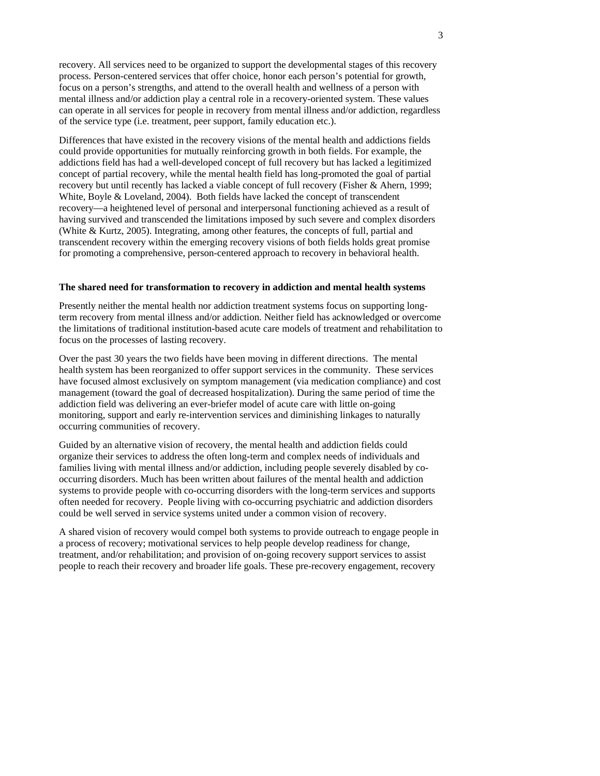recovery. All services need to be organized to support the developmental stages of this recovery process. Person-centered services that offer choice, honor each person's potential for growth, focus on a person's strengths, and attend to the overall health and wellness of a person with mental illness and/or addiction play a central role in a recovery-oriented system. These values can operate in all services for people in recovery from mental illness and/or addiction, regardless of the service type (i.e. treatment, peer support, family education etc.).

Differences that have existed in the recovery visions of the mental health and addictions fields could provide opportunities for mutually reinforcing growth in both fields. For example, the addictions field has had a well-developed concept of full recovery but has lacked a legitimized concept of partial recovery, while the mental health field has long-promoted the goal of partial recovery but until recently has lacked a viable concept of full recovery (Fisher & Ahern, 1999; White, Boyle & Loveland, 2004). Both fields have lacked the concept of transcendent recovery—a heightened level of personal and interpersonal functioning achieved as a result of having survived and transcended the limitations imposed by such severe and complex disorders (White & Kurtz, 2005). Integrating, among other features, the concepts of full, partial and transcendent recovery within the emerging recovery visions of both fields holds great promise for promoting a comprehensive, person-centered approach to recovery in behavioral health.

## **The shared need for transformation to recovery in addiction and mental health systems**

Presently neither the mental health nor addiction treatment systems focus on supporting longterm recovery from mental illness and/or addiction. Neither field has acknowledged or overcome the limitations of traditional institution-based acute care models of treatment and rehabilitation to focus on the processes of lasting recovery.

Over the past 30 years the two fields have been moving in different directions. The mental health system has been reorganized to offer support services in the community. These services have focused almost exclusively on symptom management (via medication compliance) and cost management (toward the goal of decreased hospitalization). During the same period of time the addiction field was delivering an ever-briefer model of acute care with little on-going monitoring, support and early re-intervention services and diminishing linkages to naturally occurring communities of recovery.

Guided by an alternative vision of recovery, the mental health and addiction fields could organize their services to address the often long-term and complex needs of individuals and families living with mental illness and/or addiction, including people severely disabled by cooccurring disorders. Much has been written about failures of the mental health and addiction systems to provide people with co-occurring disorders with the long-term services and supports often needed for recovery. People living with co-occurring psychiatric and addiction disorders could be well served in service systems united under a common vision of recovery.

A shared vision of recovery would compel both systems to provide outreach to engage people in a process of recovery; motivational services to help people develop readiness for change, treatment, and/or rehabilitation; and provision of on-going recovery support services to assist people to reach their recovery and broader life goals. These pre-recovery engagement, recovery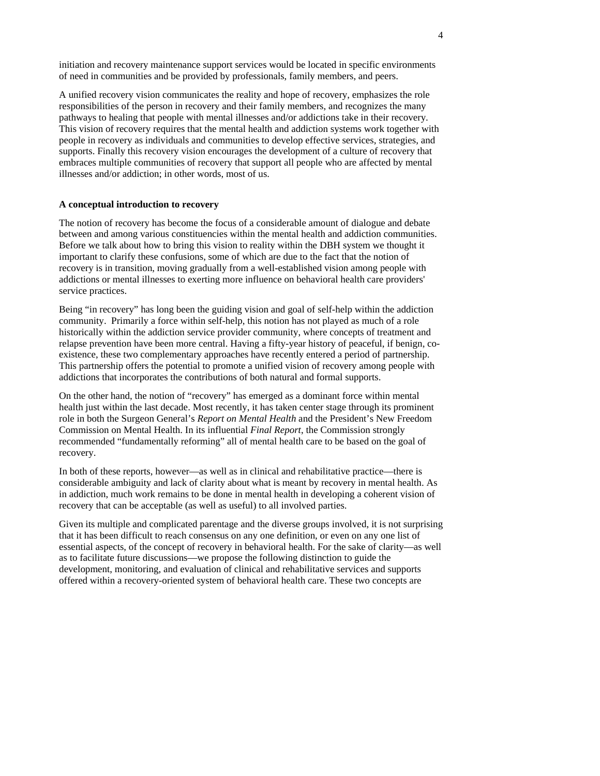initiation and recovery maintenance support services would be located in specific environments of need in communities and be provided by professionals, family members, and peers.

A unified recovery vision communicates the reality and hope of recovery, emphasizes the role responsibilities of the person in recovery and their family members, and recognizes the many pathways to healing that people with mental illnesses and/or addictions take in their recovery. This vision of recovery requires that the mental health and addiction systems work together with people in recovery as individuals and communities to develop effective services, strategies, and supports. Finally this recovery vision encourages the development of a culture of recovery that embraces multiple communities of recovery that support all people who are affected by mental illnesses and/or addiction; in other words, most of us.

## **A conceptual introduction to recovery**

The notion of recovery has become the focus of a considerable amount of dialogue and debate between and among various constituencies within the mental health and addiction communities. Before we talk about how to bring this vision to reality within the DBH system we thought it important to clarify these confusions, some of which are due to the fact that the notion of recovery is in transition, moving gradually from a well-established vision among people with addictions or mental illnesses to exerting more influence on behavioral health care providers' service practices.

Being "in recovery" has long been the guiding vision and goal of self-help within the addiction community. Primarily a force within self-help, this notion has not played as much of a role historically within the addiction service provider community, where concepts of treatment and relapse prevention have been more central. Having a fifty-year history of peaceful, if benign, coexistence, these two complementary approaches have recently entered a period of partnership. This partnership offers the potential to promote a unified vision of recovery among people with addictions that incorporates the contributions of both natural and formal supports.

On the other hand, the notion of "recovery" has emerged as a dominant force within mental health just within the last decade. Most recently, it has taken center stage through its prominent role in both the Surgeon General's *Report on Mental Health* and the President's New Freedom Commission on Mental Health. In its influential *Final Report*, the Commission strongly recommended "fundamentally reforming" all of mental health care to be based on the goal of recovery.

In both of these reports, however—as well as in clinical and rehabilitative practice—there is considerable ambiguity and lack of clarity about what is meant by recovery in mental health. As in addiction, much work remains to be done in mental health in developing a coherent vision of recovery that can be acceptable (as well as useful) to all involved parties.

Given its multiple and complicated parentage and the diverse groups involved, it is not surprising that it has been difficult to reach consensus on any one definition, or even on any one list of essential aspects, of the concept of recovery in behavioral health. For the sake of clarity—as well as to facilitate future discussions—we propose the following distinction to guide the development, monitoring, and evaluation of clinical and rehabilitative services and supports offered within a recovery-oriented system of behavioral health care. These two concepts are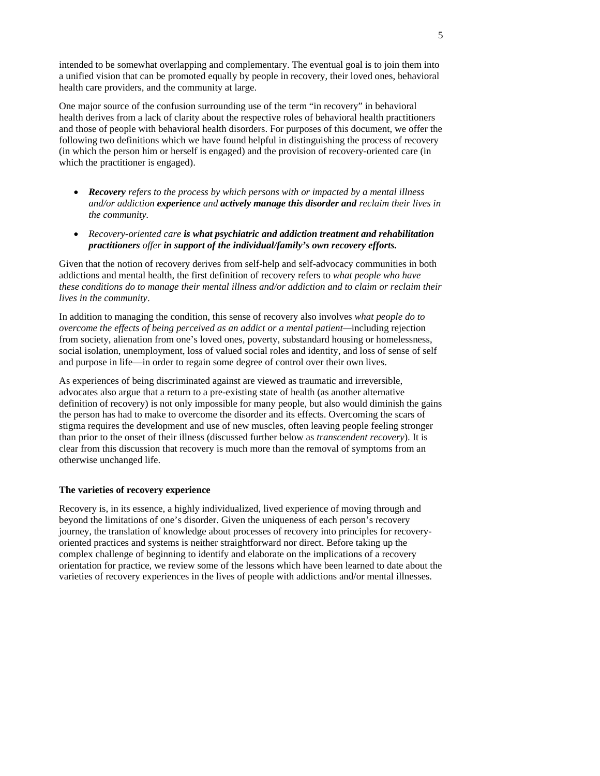intended to be somewhat overlapping and complementary. The eventual goal is to join them into a unified vision that can be promoted equally by people in recovery, their loved ones, behavioral health care providers, and the community at large.

One major source of the confusion surrounding use of the term "in recovery" in behavioral health derives from a lack of clarity about the respective roles of behavioral health practitioners and those of people with behavioral health disorders. For purposes of this document, we offer the following two definitions which we have found helpful in distinguishing the process of recovery (in which the person him or herself is engaged) and the provision of recovery-oriented care (in which the practitioner is engaged).

- *Recovery refers to the process by which persons with or impacted by a mental illness and/or addiction experience and actively manage this disorder and reclaim their lives in the community.*
- *Recovery-oriented care is what psychiatric and addiction treatment and rehabilitation practitioners offer in support of the individual/family's own recovery efforts.*

Given that the notion of recovery derives from self-help and self-advocacy communities in both addictions and mental health, the first definition of recovery refers to *what people who have these conditions do to manage their mental illness and/or addiction and to claim or reclaim their lives in the community*.

In addition to managing the condition, this sense of recovery also involves *what people do to overcome the effects of being perceived as an addict or a mental patient—*including rejection from society, alienation from one's loved ones, poverty, substandard housing or homelessness, social isolation, unemployment, loss of valued social roles and identity, and loss of sense of self and purpose in life—in order to regain some degree of control over their own lives.

As experiences of being discriminated against are viewed as traumatic and irreversible, advocates also argue that a return to a pre-existing state of health (as another alternative definition of recovery) is not only impossible for many people, but also would diminish the gains the person has had to make to overcome the disorder and its effects. Overcoming the scars of stigma requires the development and use of new muscles, often leaving people feeling stronger than prior to the onset of their illness (discussed further below as *transcendent recovery*). It is clear from this discussion that recovery is much more than the removal of symptoms from an otherwise unchanged life.

# **The varieties of recovery experience**

Recovery is, in its essence, a highly individualized, lived experience of moving through and beyond the limitations of one's disorder. Given the uniqueness of each person's recovery journey, the translation of knowledge about processes of recovery into principles for recoveryoriented practices and systems is neither straightforward nor direct. Before taking up the complex challenge of beginning to identify and elaborate on the implications of a recovery orientation for practice, we review some of the lessons which have been learned to date about the varieties of recovery experiences in the lives of people with addictions and/or mental illnesses.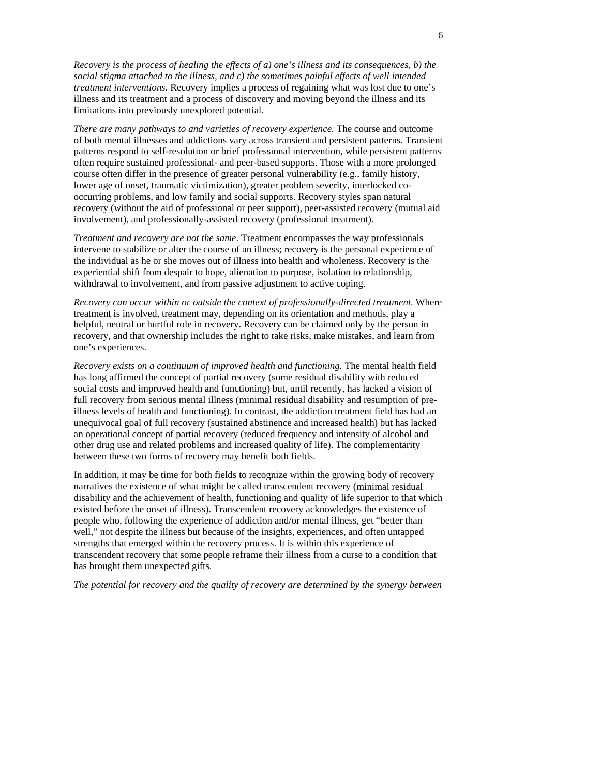*Recovery is the process of healing the effects of a) one's illness and its consequences, b) the social stigma attached to the illness, and c) the sometimes painful effects of well intended treatment interventions.* Recovery implies a process of regaining what was lost due to one's illness and its treatment and a process of discovery and moving beyond the illness and its limitations into previously unexplored potential.

*There are many pathways to and varieties of recovery experience.* The course and outcome of both mental illnesses and addictions vary across transient and persistent patterns. Transient patterns respond to self-resolution or brief professional intervention, while persistent patterns often require sustained professional- and peer-based supports. Those with a more prolonged course often differ in the presence of greater personal vulnerability (e.g., family history, lower age of onset, traumatic victimization), greater problem severity, interlocked cooccurring problems, and low family and social supports. Recovery styles span natural recovery (without the aid of professional or peer support), peer-assisted recovery (mutual aid involvement), and professionally-assisted recovery (professional treatment).

*Treatment and recovery are not the same*. Treatment encompasses the way professionals intervene to stabilize or alter the course of an illness; recovery is the personal experience of the individual as he or she moves out of illness into health and wholeness. Recovery is the experiential shift from despair to hope, alienation to purpose, isolation to relationship, withdrawal to involvement, and from passive adjustment to active coping.

*Recovery can occur within or outside the context of professionally-directed treatment*. Where treatment is involved, treatment may, depending on its orientation and methods, play a helpful, neutral or hurtful role in recovery. Recovery can be claimed only by the person in recovery, and that ownership includes the right to take risks, make mistakes, and learn from one's experiences.

*Recovery exists on a continuum of improved health and functioning.* The mental health field has long affirmed the concept of partial recovery (some residual disability with reduced social costs and improved health and functioning) but, until recently, has lacked a vision of full recovery from serious mental illness (minimal residual disability and resumption of preillness levels of health and functioning). In contrast, the addiction treatment field has had an unequivocal goal of full recovery (sustained abstinence and increased health) but has lacked an operational concept of partial recovery (reduced frequency and intensity of alcohol and other drug use and related problems and increased quality of life). The complementarity between these two forms of recovery may benefit both fields.

In addition, it may be time for both fields to recognize within the growing body of recovery narratives the existence of what might be called transcendent recovery (minimal residual disability and the achievement of health, functioning and quality of life superior to that which existed before the onset of illness). Transcendent recovery acknowledges the existence of people who, following the experience of addiction and/or mental illness, get "better than well," not despite the illness but because of the insights, experiences, and often untapped strengths that emerged within the recovery process. It is within this experience of transcendent recovery that some people reframe their illness from a curse to a condition that has brought them unexpected gifts.

*The potential for recovery and the quality of recovery are determined by the synergy between*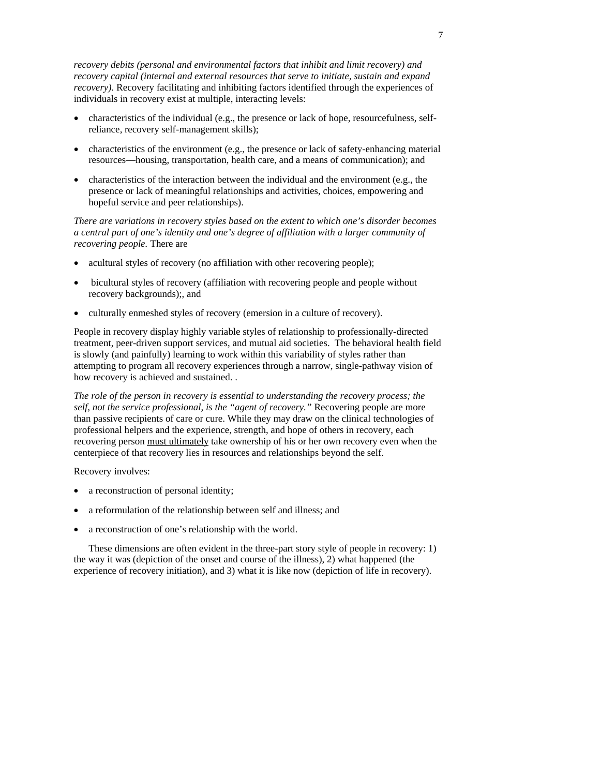*recovery debits (personal and environmental factors that inhibit and limit recovery) and recovery capital (internal and external resources that serve to initiate, sustain and expand recovery).* Recovery facilitating and inhibiting factors identified through the experiences of individuals in recovery exist at multiple, interacting levels:

- characteristics of the individual (e.g., the presence or lack of hope, resourcefulness, selfreliance, recovery self-management skills);
- characteristics of the environment (e.g., the presence or lack of safety-enhancing material resources—housing, transportation, health care, and a means of communication); and
- characteristics of the interaction between the individual and the environment (e.g., the presence or lack of meaningful relationships and activities, choices, empowering and hopeful service and peer relationships).

*There are variations in recovery styles based on the extent to which one's disorder becomes a central part of one's identity and one's degree of affiliation with a larger community of recovering people.* There are

- acultural styles of recovery (no affiliation with other recovering people);
- bicultural styles of recovery (affiliation with recovering people and people without recovery backgrounds);, and
- culturally enmeshed styles of recovery (emersion in a culture of recovery).

People in recovery display highly variable styles of relationship to professionally-directed treatment, peer-driven support services, and mutual aid societies. The behavioral health field is slowly (and painfully) learning to work within this variability of styles rather than attempting to program all recovery experiences through a narrow, single-pathway vision of how recovery is achieved and sustained. .

*The role of the person in recovery is essential to understanding the recovery process; the self, not the service professional, is the "agent of recovery."* Recovering people are more than passive recipients of care or cure. While they may draw on the clinical technologies of professional helpers and the experience, strength, and hope of others in recovery, each recovering person must ultimately take ownership of his or her own recovery even when the centerpiece of that recovery lies in resources and relationships beyond the self.

Recovery involves:

- a reconstruction of personal identity;
- a reformulation of the relationship between self and illness; and
- a reconstruction of one's relationship with the world.

 These dimensions are often evident in the three-part story style of people in recovery: 1) the way it was (depiction of the onset and course of the illness), 2) what happened (the experience of recovery initiation), and 3) what it is like now (depiction of life in recovery).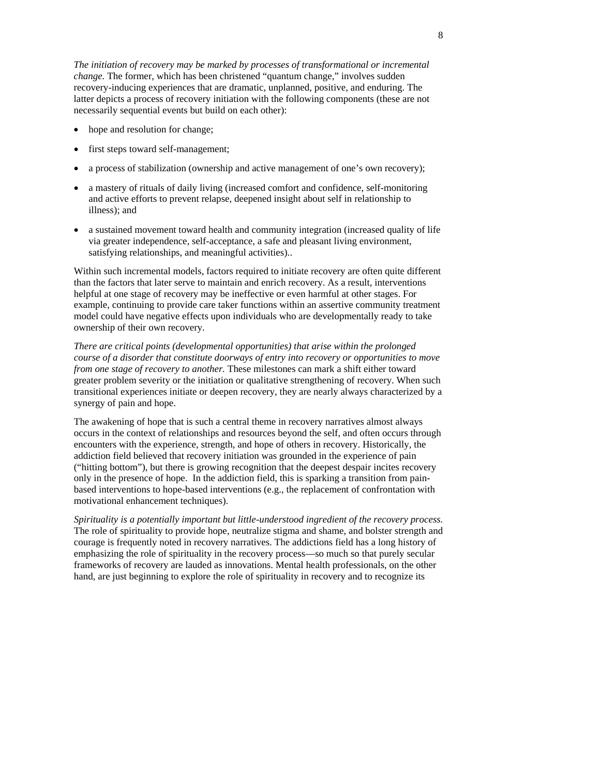*The initiation of recovery may be marked by processes of transformational or incremental change.* The former, which has been christened "quantum change," involves sudden recovery-inducing experiences that are dramatic, unplanned, positive, and enduring. The latter depicts a process of recovery initiation with the following components (these are not necessarily sequential events but build on each other):

- hope and resolution for change;
- first steps toward self-management;
- a process of stabilization (ownership and active management of one's own recovery);
- a mastery of rituals of daily living (increased comfort and confidence, self-monitoring and active efforts to prevent relapse, deepened insight about self in relationship to illness); and
- a sustained movement toward health and community integration (increased quality of life via greater independence, self-acceptance, a safe and pleasant living environment, satisfying relationships, and meaningful activities)..

Within such incremental models, factors required to initiate recovery are often quite different than the factors that later serve to maintain and enrich recovery. As a result, interventions helpful at one stage of recovery may be ineffective or even harmful at other stages. For example, continuing to provide care taker functions within an assertive community treatment model could have negative effects upon individuals who are developmentally ready to take ownership of their own recovery.

*There are critical points (developmental opportunities) that arise within the prolonged course of a disorder that constitute doorways of entry into recovery or opportunities to move from one stage of recovery to another.* These milestones can mark a shift either toward greater problem severity or the initiation or qualitative strengthening of recovery. When such transitional experiences initiate or deepen recovery, they are nearly always characterized by a synergy of pain and hope.

The awakening of hope that is such a central theme in recovery narratives almost always occurs in the context of relationships and resources beyond the self, and often occurs through encounters with the experience, strength, and hope of others in recovery. Historically, the addiction field believed that recovery initiation was grounded in the experience of pain ("hitting bottom"), but there is growing recognition that the deepest despair incites recovery only in the presence of hope. In the addiction field, this is sparking a transition from painbased interventions to hope-based interventions (e.g., the replacement of confrontation with motivational enhancement techniques).

*Spirituality is a potentially important but little-understood ingredient of the recovery process.*  The role of spirituality to provide hope, neutralize stigma and shame, and bolster strength and courage is frequently noted in recovery narratives. The addictions field has a long history of emphasizing the role of spirituality in the recovery process—so much so that purely secular frameworks of recovery are lauded as innovations. Mental health professionals, on the other hand, are just beginning to explore the role of spirituality in recovery and to recognize its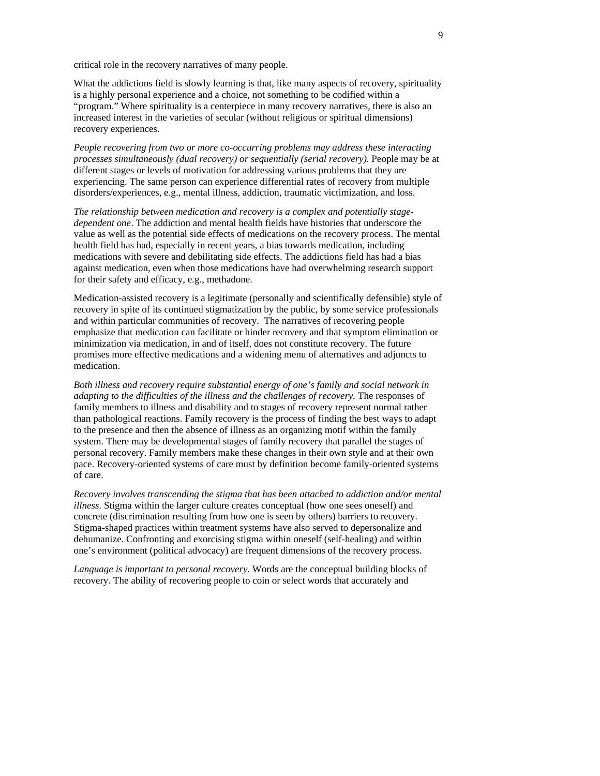critical role in the recovery narratives of many people.

What the addictions field is slowly learning is that, like many aspects of recovery, spirituality is a highly personal experience and a choice, not something to be codified within a "program." Where spirituality is a centerpiece in many recovery narratives, there is also an increased interest in the varieties of secular (without religious or spiritual dimensions) recovery experiences.

*People recovering from two or more co-occurring problems may address these interacting processes simultaneously (dual recovery) or sequentially (serial recovery).* People may be at different stages or levels of motivation for addressing various problems that they are experiencing. The same person can experience differential rates of recovery from multiple disorders/experiences, e.g., mental illness, addiction, traumatic victimization, and loss.

*The relationship between medication and recovery is a complex and potentially stagedependent one*. The addiction and mental health fields have histories that underscore the value as well as the potential side effects of medications on the recovery process. The mental health field has had, especially in recent years, a bias towards medication, including medications with severe and debilitating side effects. The addictions field has had a bias against medication, even when those medications have had overwhelming research support for their safety and efficacy, e.g., methadone.

Medication-assisted recovery is a legitimate (personally and scientifically defensible) style of recovery in spite of its continued stigmatization by the public, by some service professionals and within particular communities of recovery. The narratives of recovering people emphasize that medication can facilitate or hinder recovery and that symptom elimination or minimization via medication, in and of itself, does not constitute recovery. The future promises more effective medications and a widening menu of alternatives and adjuncts to medication.

*Both illness and recovery require substantial energy of one's family and social network in adapting to the difficulties of the illness and the challenges of recovery.* The responses of family members to illness and disability and to stages of recovery represent normal rather than pathological reactions. Family recovery is the process of finding the best ways to adapt to the presence and then the absence of illness as an organizing motif within the family system. There may be developmental stages of family recovery that parallel the stages of personal recovery. Family members make these changes in their own style and at their own pace. Recovery-oriented systems of care must by definition become family-oriented systems of care.

*Recovery involves transcending the stigma that has been attached to addiction and/or mental illness*. Stigma within the larger culture creates conceptual (how one sees oneself) and concrete (discrimination resulting from how one is seen by others) barriers to recovery. Stigma-shaped practices within treatment systems have also served to depersonalize and dehumanize. Confronting and exorcising stigma within oneself (self-healing) and within one's environment (political advocacy) are frequent dimensions of the recovery process.

*Language is important to personal recovery.* Words are the conceptual building blocks of recovery. The ability of recovering people to coin or select words that accurately and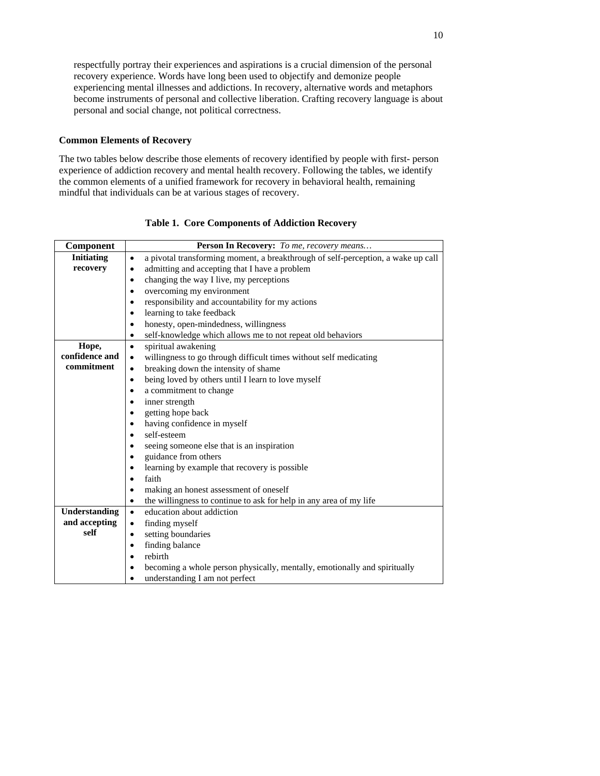respectfully portray their experiences and aspirations is a crucial dimension of the personal recovery experience. Words have long been used to objectify and demonize people experiencing mental illnesses and addictions. In recovery, alternative words and metaphors become instruments of personal and collective liberation. Crafting recovery language is about personal and social change, not political correctness.

# **Common Elements of Recovery**

The two tables below describe those elements of recovery identified by people with first- person experience of addiction recovery and mental health recovery. Following the tables, we identify the common elements of a unified framework for recovery in behavioral health, remaining mindful that individuals can be at various stages of recovery.

| Component         | Person In Recovery: To me, recovery means                                                     |  |  |  |  |  |  |
|-------------------|-----------------------------------------------------------------------------------------------|--|--|--|--|--|--|
| <b>Initiating</b> | a pivotal transforming moment, a breakthrough of self-perception, a wake up call<br>$\bullet$ |  |  |  |  |  |  |
| recovery          | admitting and accepting that I have a problem<br>$\bullet$                                    |  |  |  |  |  |  |
|                   | changing the way I live, my perceptions                                                       |  |  |  |  |  |  |
|                   | overcoming my environment<br>$\bullet$                                                        |  |  |  |  |  |  |
|                   | responsibility and accountability for my actions                                              |  |  |  |  |  |  |
|                   | learning to take feedback                                                                     |  |  |  |  |  |  |
|                   | honesty, open-mindedness, willingness<br>$\bullet$                                            |  |  |  |  |  |  |
|                   | self-knowledge which allows me to not repeat old behaviors                                    |  |  |  |  |  |  |
| Hope,             | spiritual awakening<br>$\bullet$                                                              |  |  |  |  |  |  |
| confidence and    | willingness to go through difficult times without self medicating<br>$\bullet$                |  |  |  |  |  |  |
| commitment        | breaking down the intensity of shame<br>$\bullet$                                             |  |  |  |  |  |  |
|                   | being loved by others until I learn to love myself                                            |  |  |  |  |  |  |
|                   | a commitment to change                                                                        |  |  |  |  |  |  |
|                   | inner strength                                                                                |  |  |  |  |  |  |
|                   | getting hope back                                                                             |  |  |  |  |  |  |
|                   | having confidence in myself                                                                   |  |  |  |  |  |  |
|                   | self-esteem<br>$\bullet$                                                                      |  |  |  |  |  |  |
|                   | seeing someone else that is an inspiration                                                    |  |  |  |  |  |  |
|                   | guidance from others                                                                          |  |  |  |  |  |  |
|                   | learning by example that recovery is possible                                                 |  |  |  |  |  |  |
|                   | faith                                                                                         |  |  |  |  |  |  |
|                   | making an honest assessment of oneself<br>٠                                                   |  |  |  |  |  |  |
|                   | the willingness to continue to ask for help in any area of my life<br>$\bullet$               |  |  |  |  |  |  |
| Understanding     | education about addiction<br>$\bullet$                                                        |  |  |  |  |  |  |
| and accepting     | finding myself                                                                                |  |  |  |  |  |  |
| self              | setting boundaries<br>$\bullet$                                                               |  |  |  |  |  |  |
|                   | finding balance<br>$\bullet$                                                                  |  |  |  |  |  |  |
|                   | rebirth                                                                                       |  |  |  |  |  |  |
|                   | becoming a whole person physically, mentally, emotionally and spiritually                     |  |  |  |  |  |  |
|                   | understanding I am not perfect                                                                |  |  |  |  |  |  |

**Table 1. Core Components of Addiction Recovery**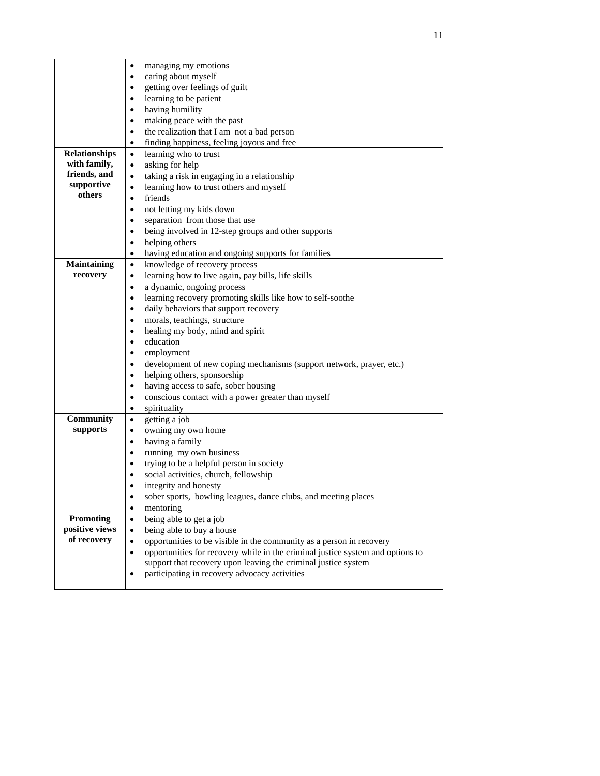|                      | managing my emotions<br>$\bullet$                                                              |  |  |  |  |  |
|----------------------|------------------------------------------------------------------------------------------------|--|--|--|--|--|
|                      | caring about myself<br>$\bullet$                                                               |  |  |  |  |  |
|                      | getting over feelings of guilt                                                                 |  |  |  |  |  |
|                      | learning to be patient                                                                         |  |  |  |  |  |
|                      | having humility<br>$\bullet$                                                                   |  |  |  |  |  |
|                      | making peace with the past<br>$\bullet$                                                        |  |  |  |  |  |
|                      | the realization that I am not a bad person<br>$\bullet$                                        |  |  |  |  |  |
|                      | finding happiness, feeling joyous and free<br>$\bullet$                                        |  |  |  |  |  |
| <b>Relationships</b> | learning who to trust<br>$\bullet$                                                             |  |  |  |  |  |
| with family,         | asking for help<br>$\bullet$                                                                   |  |  |  |  |  |
| friends, and         | taking a risk in engaging in a relationship<br>$\bullet$                                       |  |  |  |  |  |
| supportive<br>others | learning how to trust others and myself<br>$\bullet$                                           |  |  |  |  |  |
|                      | friends<br>$\bullet$                                                                           |  |  |  |  |  |
|                      | not letting my kids down<br>$\bullet$                                                          |  |  |  |  |  |
|                      | separation from those that use<br>$\bullet$                                                    |  |  |  |  |  |
|                      | being involved in 12-step groups and other supports<br>$\bullet$                               |  |  |  |  |  |
|                      | helping others<br>$\bullet$<br>having education and ongoing supports for families<br>$\bullet$ |  |  |  |  |  |
| <b>Maintaining</b>   | knowledge of recovery process<br>$\bullet$                                                     |  |  |  |  |  |
| recovery             | learning how to live again, pay bills, life skills<br>$\bullet$                                |  |  |  |  |  |
|                      | a dynamic, ongoing process<br>$\bullet$                                                        |  |  |  |  |  |
|                      | learning recovery promoting skills like how to self-soothe<br>$\bullet$                        |  |  |  |  |  |
|                      | daily behaviors that support recovery                                                          |  |  |  |  |  |
|                      | morals, teachings, structure                                                                   |  |  |  |  |  |
|                      | healing my body, mind and spirit                                                               |  |  |  |  |  |
|                      | education<br>$\bullet$                                                                         |  |  |  |  |  |
|                      | employment<br>٠                                                                                |  |  |  |  |  |
|                      | development of new coping mechanisms (support network, prayer, etc.)<br>٠                      |  |  |  |  |  |
|                      | helping others, sponsorship<br>$\bullet$                                                       |  |  |  |  |  |
|                      | having access to safe, sober housing<br>$\bullet$                                              |  |  |  |  |  |
|                      | conscious contact with a power greater than myself<br>$\bullet$                                |  |  |  |  |  |
|                      | spirituality<br>$\bullet$                                                                      |  |  |  |  |  |
| Community            | getting a job<br>$\bullet$                                                                     |  |  |  |  |  |
| supports             | owning my own home<br>$\bullet$                                                                |  |  |  |  |  |
|                      | having a family<br>$\bullet$                                                                   |  |  |  |  |  |
|                      | running my own business<br>٠                                                                   |  |  |  |  |  |
|                      | trying to be a helpful person in society<br>$\bullet$                                          |  |  |  |  |  |
|                      | social activities, church, fellowship<br>integrity and honesty                                 |  |  |  |  |  |
|                      | sober sports, bowling leagues, dance clubs, and meeting places                                 |  |  |  |  |  |
|                      | $\bullet$<br>mentoring                                                                         |  |  |  |  |  |
| <b>Promoting</b>     | being able to get a job<br>$\bullet$                                                           |  |  |  |  |  |
| positive views       | being able to buy a house<br>$\bullet$                                                         |  |  |  |  |  |
| of recovery          | opportunities to be visible in the community as a person in recovery<br>$\bullet$              |  |  |  |  |  |
|                      | opportunities for recovery while in the criminal justice system and options to<br>$\bullet$    |  |  |  |  |  |
|                      | support that recovery upon leaving the criminal justice system                                 |  |  |  |  |  |
|                      | participating in recovery advocacy activities<br>$\bullet$                                     |  |  |  |  |  |
|                      |                                                                                                |  |  |  |  |  |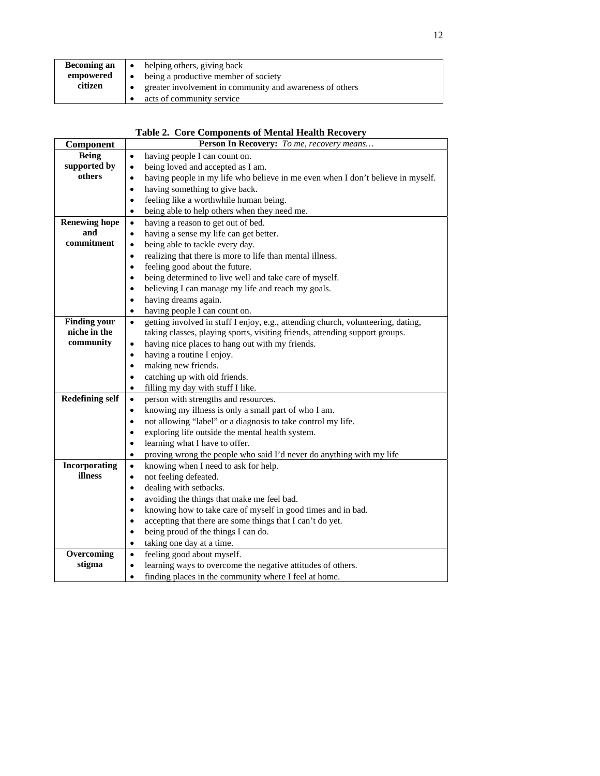|           | <b>Becoming an</b> $\bullet$ helping others, giving back |  |  |  |  |  |
|-----------|----------------------------------------------------------|--|--|--|--|--|
| empowered | being a productive member of society<br>$\bullet$        |  |  |  |  |  |
| citizen   | greater involvement in community and awareness of others |  |  |  |  |  |
|           | acts of community service                                |  |  |  |  |  |

# **Table 2. Core Components of Mental Health Recovery**

| Component              | Person In Recovery: To me, recovery means                                                     |  |  |  |  |
|------------------------|-----------------------------------------------------------------------------------------------|--|--|--|--|
| <b>Being</b>           | having people I can count on.<br>$\bullet$                                                    |  |  |  |  |
| supported by           | being loved and accepted as I am.<br>$\bullet$                                                |  |  |  |  |
| others                 | having people in my life who believe in me even when I don't believe in myself.<br>$\bullet$  |  |  |  |  |
|                        | having something to give back.<br>$\bullet$                                                   |  |  |  |  |
|                        | feeling like a worthwhile human being.<br>$\bullet$                                           |  |  |  |  |
|                        | being able to help others when they need me.<br>$\bullet$                                     |  |  |  |  |
| <b>Renewing hope</b>   | having a reason to get out of bed.<br>$\bullet$                                               |  |  |  |  |
| and                    | having a sense my life can get better.<br>$\bullet$                                           |  |  |  |  |
| commitment             | being able to tackle every day.                                                               |  |  |  |  |
|                        | realizing that there is more to life than mental illness.                                     |  |  |  |  |
|                        | feeling good about the future.                                                                |  |  |  |  |
|                        | being determined to live well and take care of myself.                                        |  |  |  |  |
|                        | believing I can manage my life and reach my goals.<br>$\bullet$                               |  |  |  |  |
|                        | having dreams again.<br>٠                                                                     |  |  |  |  |
|                        | having people I can count on.<br>$\bullet$                                                    |  |  |  |  |
| <b>Finding your</b>    | getting involved in stuff I enjoy, e.g., attending church, volunteering, dating,<br>$\bullet$ |  |  |  |  |
| niche in the           | taking classes, playing sports, visiting friends, attending support groups.                   |  |  |  |  |
| community              | having nice places to hang out with my friends.<br>$\bullet$                                  |  |  |  |  |
|                        | having a routine I enjoy.<br>$\bullet$                                                        |  |  |  |  |
|                        | making new friends.<br>$\bullet$                                                              |  |  |  |  |
|                        | catching up with old friends.                                                                 |  |  |  |  |
|                        | filling my day with stuff I like.<br>$\bullet$                                                |  |  |  |  |
| <b>Redefining self</b> | person with strengths and resources.<br>$\bullet$                                             |  |  |  |  |
|                        | knowing my illness is only a small part of who I am.<br>$\bullet$                             |  |  |  |  |
|                        | not allowing "label" or a diagnosis to take control my life.<br>$\bullet$                     |  |  |  |  |
|                        | exploring life outside the mental health system.<br>$\bullet$                                 |  |  |  |  |
|                        | learning what I have to offer.<br>٠                                                           |  |  |  |  |
|                        | proving wrong the people who said I'd never do anything with my life<br>$\bullet$             |  |  |  |  |
| <b>Incorporating</b>   | knowing when I need to ask for help.<br>$\bullet$                                             |  |  |  |  |
| illness                | not feeling defeated.<br>$\bullet$                                                            |  |  |  |  |
|                        | dealing with setbacks.<br>٠                                                                   |  |  |  |  |
|                        | avoiding the things that make me feel bad.<br>$\bullet$                                       |  |  |  |  |
|                        | knowing how to take care of myself in good times and in bad.<br>$\bullet$                     |  |  |  |  |
|                        | accepting that there are some things that I can't do yet.<br>٠                                |  |  |  |  |
|                        | being proud of the things I can do.<br>$\bullet$                                              |  |  |  |  |
|                        | taking one day at a time.<br>$\bullet$                                                        |  |  |  |  |
| Overcoming             | feeling good about myself.<br>$\bullet$                                                       |  |  |  |  |
| stigma                 | learning ways to overcome the negative attitudes of others.<br>$\bullet$                      |  |  |  |  |
|                        | finding places in the community where I feel at home.<br>$\bullet$                            |  |  |  |  |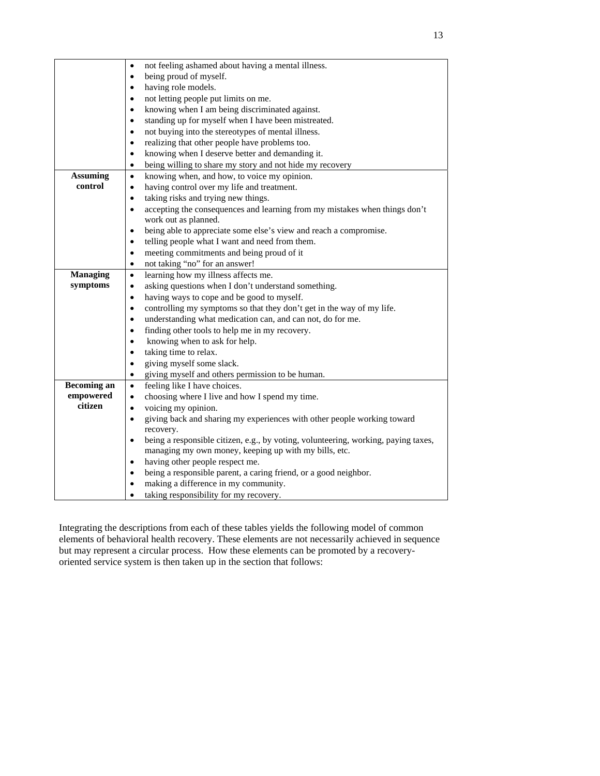|                    | not feeling ashamed about having a mental illness.<br>$\bullet$                                 |
|--------------------|-------------------------------------------------------------------------------------------------|
|                    | being proud of myself.<br>$\bullet$                                                             |
|                    | having role models.<br>$\bullet$                                                                |
|                    | not letting people put limits on me.<br>$\bullet$                                               |
|                    | knowing when I am being discriminated against.<br>$\bullet$                                     |
|                    | standing up for myself when I have been mistreated.<br>$\bullet$                                |
|                    | not buying into the stereotypes of mental illness.<br>$\bullet$                                 |
|                    | realizing that other people have problems too.<br>$\bullet$                                     |
|                    | knowing when I deserve better and demanding it.<br>$\bullet$                                    |
|                    | being willing to share my story and not hide my recovery<br>$\bullet$                           |
| <b>Assuming</b>    | knowing when, and how, to voice my opinion.<br>$\bullet$                                        |
| control            | having control over my life and treatment.<br>$\bullet$                                         |
|                    | taking risks and trying new things.<br>$\bullet$                                                |
|                    | accepting the consequences and learning from my mistakes when things don't<br>$\bullet$         |
|                    | work out as planned.                                                                            |
|                    | being able to appreciate some else's view and reach a compromise.<br>$\bullet$                  |
|                    | telling people what I want and need from them.<br>$\bullet$                                     |
|                    | meeting commitments and being proud of it<br>$\bullet$                                          |
|                    | not taking "no" for an answer!<br>$\bullet$                                                     |
| <b>Managing</b>    | learning how my illness affects me.<br>$\bullet$                                                |
| symptoms           | asking questions when I don't understand something.<br>$\bullet$                                |
|                    | having ways to cope and be good to myself.<br>$\bullet$                                         |
|                    | controlling my symptoms so that they don't get in the way of my life.<br>$\bullet$              |
|                    | understanding what medication can, and can not, do for me.<br>$\bullet$                         |
|                    | finding other tools to help me in my recovery.<br>$\bullet$                                     |
|                    | knowing when to ask for help.<br>$\bullet$                                                      |
|                    | taking time to relax.<br>$\bullet$                                                              |
|                    | giving myself some slack.<br>$\bullet$                                                          |
|                    | giving myself and others permission to be human.<br>$\bullet$                                   |
| <b>Becoming an</b> | feeling like I have choices.<br>$\bullet$                                                       |
| empowered          | choosing where I live and how I spend my time.<br>$\bullet$                                     |
| citizen            | voicing my opinion.<br>$\bullet$                                                                |
|                    | giving back and sharing my experiences with other people working toward<br>$\bullet$            |
|                    | recovery.                                                                                       |
|                    | being a responsible citizen, e.g., by voting, volunteering, working, paying taxes,<br>$\bullet$ |
|                    | managing my own money, keeping up with my bills, etc.                                           |
|                    | having other people respect me.<br>$\bullet$                                                    |
|                    | being a responsible parent, a caring friend, or a good neighbor.<br>$\bullet$                   |
|                    | making a difference in my community.<br>$\bullet$                                               |
|                    | taking responsibility for my recovery.                                                          |

Integrating the descriptions from each of these tables yields the following model of common elements of behavioral health recovery. These elements are not necessarily achieved in sequence but may represent a circular process. How these elements can be promoted by a recoveryoriented service system is then taken up in the section that follows: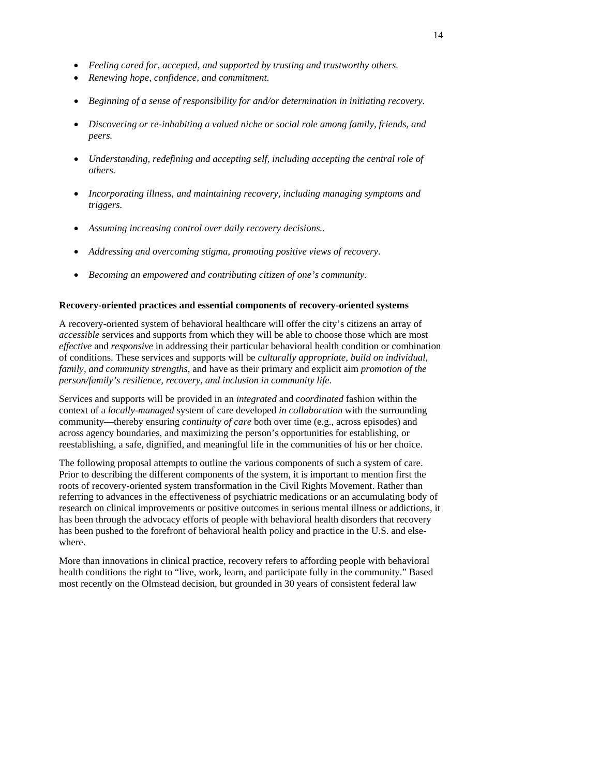- *Feeling cared for, accepted, and supported by trusting and trustworthy others.*
- *Renewing hope, confidence, and commitment.*
- *Beginning of a sense of responsibility for and/or determination in initiating recovery.*
- *Discovering or re-inhabiting a valued niche or social role among family, friends, and peers.*
- *Understanding, redefining and accepting self, including accepting the central role of others.*
- *Incorporating illness, and maintaining recovery, including managing symptoms and triggers.*
- *Assuming increasing control over daily recovery decisions..*
- *Addressing and overcoming stigma, promoting positive views of recovery.*
- *Becoming an empowered and contributing citizen of one's community.*

## **Recovery-oriented practices and essential components of recovery-oriented systems**

A recovery-oriented system of behavioral healthcare will offer the city's citizens an array of *accessible* services and supports from which they will be able to choose those which are most *effective* and *responsive* in addressing their particular behavioral health condition or combination of conditions. These services and supports will be *culturally appropriate*, *build on individual, family, and community strengths*, and have as their primary and explicit aim *promotion of the person/family's resilience, recovery, and inclusion in community life.*

Services and supports will be provided in an *integrated* and *coordinated* fashion within the context of a *locally-managed* system of care developed *in collaboration* with the surrounding community—thereby ensuring *continuity of care* both over time (e.g., across episodes) and across agency boundaries, and maximizing the person's opportunities for establishing, or reestablishing, a safe, dignified, and meaningful life in the communities of his or her choice.

The following proposal attempts to outline the various components of such a system of care. Prior to describing the different components of the system, it is important to mention first the roots of recovery-oriented system transformation in the Civil Rights Movement. Rather than referring to advances in the effectiveness of psychiatric medications or an accumulating body of research on clinical improvements or positive outcomes in serious mental illness or addictions, it has been through the advocacy efforts of people with behavioral health disorders that recovery has been pushed to the forefront of behavioral health policy and practice in the U.S. and elsewhere.

More than innovations in clinical practice, recovery refers to affording people with behavioral health conditions the right to "live, work, learn, and participate fully in the community." Based most recently on the Olmstead decision, but grounded in 30 years of consistent federal law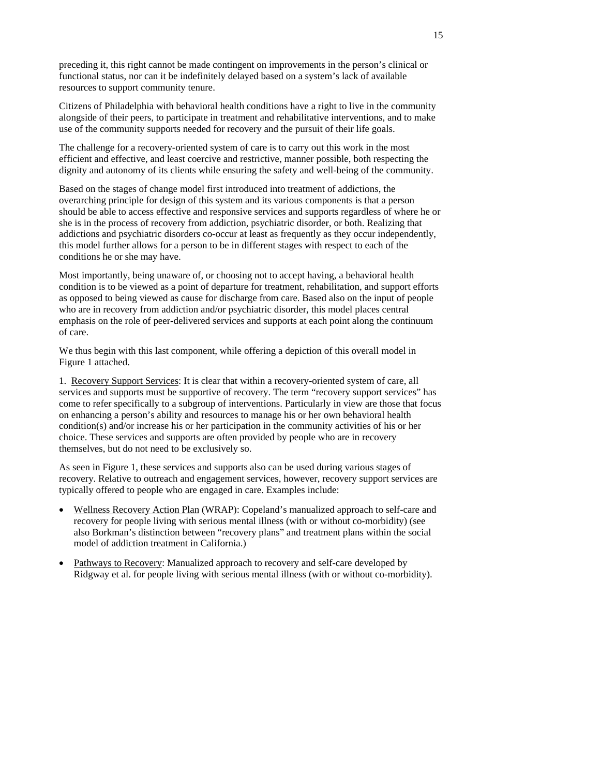preceding it, this right cannot be made contingent on improvements in the person's clinical or functional status, nor can it be indefinitely delayed based on a system's lack of available resources to support community tenure.

Citizens of Philadelphia with behavioral health conditions have a right to live in the community alongside of their peers, to participate in treatment and rehabilitative interventions, and to make use of the community supports needed for recovery and the pursuit of their life goals.

The challenge for a recovery-oriented system of care is to carry out this work in the most efficient and effective, and least coercive and restrictive, manner possible, both respecting the dignity and autonomy of its clients while ensuring the safety and well-being of the community.

Based on the stages of change model first introduced into treatment of addictions, the overarching principle for design of this system and its various components is that a person should be able to access effective and responsive services and supports regardless of where he or she is in the process of recovery from addiction, psychiatric disorder, or both. Realizing that addictions and psychiatric disorders co-occur at least as frequently as they occur independently, this model further allows for a person to be in different stages with respect to each of the conditions he or she may have.

Most importantly, being unaware of, or choosing not to accept having, a behavioral health condition is to be viewed as a point of departure for treatment, rehabilitation, and support efforts as opposed to being viewed as cause for discharge from care. Based also on the input of people who are in recovery from addiction and/or psychiatric disorder, this model places central emphasis on the role of peer-delivered services and supports at each point along the continuum of care.

We thus begin with this last component, while offering a depiction of this overall model in Figure 1 attached.

1. Recovery Support Services: It is clear that within a recovery-oriented system of care, all services and supports must be supportive of recovery. The term "recovery support services" has come to refer specifically to a subgroup of interventions. Particularly in view are those that focus on enhancing a person's ability and resources to manage his or her own behavioral health condition(s) and/or increase his or her participation in the community activities of his or her choice. These services and supports are often provided by people who are in recovery themselves, but do not need to be exclusively so.

As seen in Figure 1, these services and supports also can be used during various stages of recovery. Relative to outreach and engagement services, however, recovery support services are typically offered to people who are engaged in care. Examples include:

- Wellness Recovery Action Plan (WRAP): Copeland's manualized approach to self-care and recovery for people living with serious mental illness (with or without co-morbidity) (see also Borkman's distinction between "recovery plans" and treatment plans within the social model of addiction treatment in California.)
- Pathways to Recovery: Manualized approach to recovery and self-care developed by Ridgway et al. for people living with serious mental illness (with or without co-morbidity).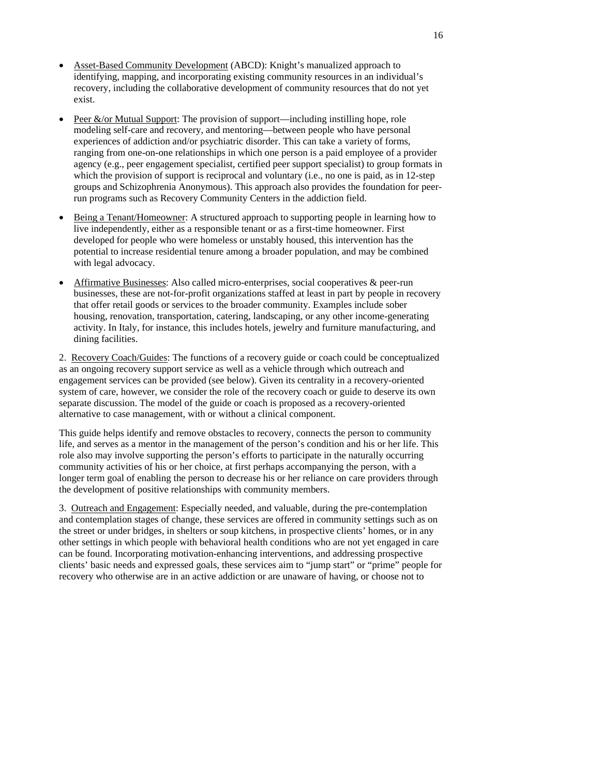- Asset-Based Community Development (ABCD): Knight's manualized approach to identifying, mapping, and incorporating existing community resources in an individual's recovery, including the collaborative development of community resources that do not yet exist.
- Peer &/or Mutual Support: The provision of support—including instilling hope, role modeling self-care and recovery, and mentoring—between people who have personal experiences of addiction and/or psychiatric disorder. This can take a variety of forms, ranging from one-on-one relationships in which one person is a paid employee of a provider agency (e.g., peer engagement specialist, certified peer support specialist) to group formats in which the provision of support is reciprocal and voluntary (i.e., no one is paid, as in 12-step groups and Schizophrenia Anonymous). This approach also provides the foundation for peerrun programs such as Recovery Community Centers in the addiction field.
- Being a Tenant/Homeowner: A structured approach to supporting people in learning how to live independently, either as a responsible tenant or as a first-time homeowner. First developed for people who were homeless or unstably housed, this intervention has the potential to increase residential tenure among a broader population, and may be combined with legal advocacy.
- Affirmative Businesses: Also called micro-enterprises, social cooperatives & peer-run businesses, these are not-for-profit organizations staffed at least in part by people in recovery that offer retail goods or services to the broader community. Examples include sober housing, renovation, transportation, catering, landscaping, or any other income-generating activity. In Italy, for instance, this includes hotels, jewelry and furniture manufacturing, and dining facilities.

2. Recovery Coach/Guides: The functions of a recovery guide or coach could be conceptualized as an ongoing recovery support service as well as a vehicle through which outreach and engagement services can be provided (see below). Given its centrality in a recovery-oriented system of care, however, we consider the role of the recovery coach or guide to deserve its own separate discussion. The model of the guide or coach is proposed as a recovery-oriented alternative to case management, with or without a clinical component.

This guide helps identify and remove obstacles to recovery, connects the person to community life, and serves as a mentor in the management of the person's condition and his or her life. This role also may involve supporting the person's efforts to participate in the naturally occurring community activities of his or her choice, at first perhaps accompanying the person, with a longer term goal of enabling the person to decrease his or her reliance on care providers through the development of positive relationships with community members.

3. Outreach and Engagement: Especially needed, and valuable, during the pre-contemplation and contemplation stages of change, these services are offered in community settings such as on the street or under bridges, in shelters or soup kitchens, in prospective clients' homes, or in any other settings in which people with behavioral health conditions who are not yet engaged in care can be found. Incorporating motivation-enhancing interventions, and addressing prospective clients' basic needs and expressed goals, these services aim to "jump start" or "prime" people for recovery who otherwise are in an active addiction or are unaware of having, or choose not to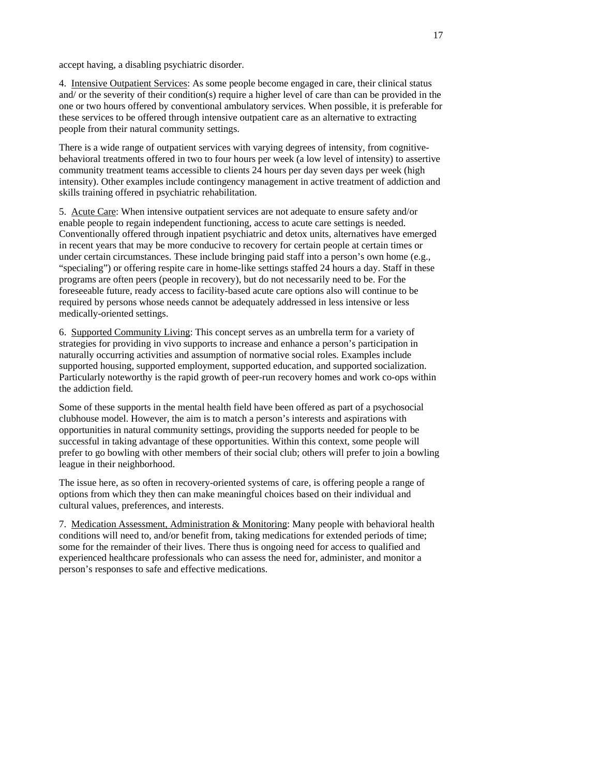accept having, a disabling psychiatric disorder.

4. Intensive Outpatient Services: As some people become engaged in care, their clinical status and/ or the severity of their condition(s) require a higher level of care than can be provided in the one or two hours offered by conventional ambulatory services. When possible, it is preferable for these services to be offered through intensive outpatient care as an alternative to extracting people from their natural community settings.

There is a wide range of outpatient services with varying degrees of intensity, from cognitivebehavioral treatments offered in two to four hours per week (a low level of intensity) to assertive community treatment teams accessible to clients 24 hours per day seven days per week (high intensity). Other examples include contingency management in active treatment of addiction and skills training offered in psychiatric rehabilitation.

5. Acute Care: When intensive outpatient services are not adequate to ensure safety and/or enable people to regain independent functioning, access to acute care settings is needed. Conventionally offered through inpatient psychiatric and detox units, alternatives have emerged in recent years that may be more conducive to recovery for certain people at certain times or under certain circumstances. These include bringing paid staff into a person's own home (e.g., "specialing") or offering respite care in home-like settings staffed 24 hours a day. Staff in these programs are often peers (people in recovery), but do not necessarily need to be. For the foreseeable future, ready access to facility-based acute care options also will continue to be required by persons whose needs cannot be adequately addressed in less intensive or less medically-oriented settings.

6. Supported Community Living: This concept serves as an umbrella term for a variety of strategies for providing in vivo supports to increase and enhance a person's participation in naturally occurring activities and assumption of normative social roles. Examples include supported housing, supported employment, supported education, and supported socialization. Particularly noteworthy is the rapid growth of peer-run recovery homes and work co-ops within the addiction field.

Some of these supports in the mental health field have been offered as part of a psychosocial clubhouse model. However, the aim is to match a person's interests and aspirations with opportunities in natural community settings, providing the supports needed for people to be successful in taking advantage of these opportunities. Within this context, some people will prefer to go bowling with other members of their social club; others will prefer to join a bowling league in their neighborhood.

The issue here, as so often in recovery-oriented systems of care, is offering people a range of options from which they then can make meaningful choices based on their individual and cultural values, preferences, and interests.

7. Medication Assessment, Administration & Monitoring: Many people with behavioral health conditions will need to, and/or benefit from, taking medications for extended periods of time; some for the remainder of their lives. There thus is ongoing need for access to qualified and experienced healthcare professionals who can assess the need for, administer, and monitor a person's responses to safe and effective medications.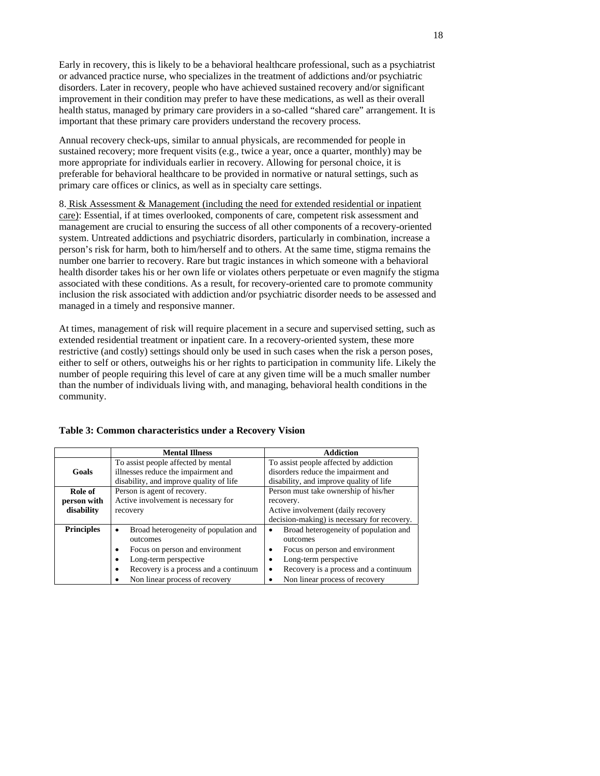Early in recovery, this is likely to be a behavioral healthcare professional, such as a psychiatrist or advanced practice nurse, who specializes in the treatment of addictions and/or psychiatric disorders. Later in recovery, people who have achieved sustained recovery and/or significant improvement in their condition may prefer to have these medications, as well as their overall health status, managed by primary care providers in a so-called "shared care" arrangement. It is important that these primary care providers understand the recovery process.

Annual recovery check-ups, similar to annual physicals, are recommended for people in sustained recovery; more frequent visits (e.g., twice a year, once a quarter, monthly) may be more appropriate for individuals earlier in recovery. Allowing for personal choice, it is preferable for behavioral healthcare to be provided in normative or natural settings, such as primary care offices or clinics, as well as in specialty care settings.

8. Risk Assessment & Management (including the need for extended residential or inpatient care): Essential, if at times overlooked, components of care, competent risk assessment and management are crucial to ensuring the success of all other components of a recovery-oriented system. Untreated addictions and psychiatric disorders, particularly in combination, increase a person's risk for harm, both to him/herself and to others. At the same time, stigma remains the number one barrier to recovery. Rare but tragic instances in which someone with a behavioral health disorder takes his or her own life or violates others perpetuate or even magnify the stigma associated with these conditions. As a result, for recovery-oriented care to promote community inclusion the risk associated with addiction and/or psychiatric disorder needs to be assessed and managed in a timely and responsive manner.

At times, management of risk will require placement in a secure and supervised setting, such as extended residential treatment or inpatient care. In a recovery-oriented system, these more restrictive (and costly) settings should only be used in such cases when the risk a person poses, either to self or others, outweighs his or her rights to participation in community life. Likely the number of people requiring this level of care at any given time will be a much smaller number than the number of individuals living with, and managing, behavioral health conditions in the community.

|                   | <b>Mental Illness</b>                      | <b>Addiction</b>                                                               |  |  |
|-------------------|--------------------------------------------|--------------------------------------------------------------------------------|--|--|
|                   | To assist people affected by mental        | To assist people affected by addiction                                         |  |  |
| Goals             | illnesses reduce the impairment and        | disorders reduce the impairment and<br>disability, and improve quality of life |  |  |
|                   | disability, and improve quality of life    |                                                                                |  |  |
| Role of           | Person is agent of recovery.               | Person must take ownership of his/her                                          |  |  |
| person with       | Active involvement is necessary for        | recovery.                                                                      |  |  |
| disability        | recovery                                   | Active involvement (daily recovery                                             |  |  |
|                   |                                            | decision-making) is necessary for recovery.                                    |  |  |
| <b>Principles</b> | Broad heterogeneity of population and<br>٠ | Broad heterogeneity of population and                                          |  |  |
|                   | outcomes                                   | outcomes                                                                       |  |  |
|                   | Focus on person and environment            | Focus on person and environment                                                |  |  |
|                   | Long-term perspective                      | Long-term perspective                                                          |  |  |
|                   | Recovery is a process and a continuum      | Recovery is a process and a continuum                                          |  |  |
|                   | Non linear process of recovery             | Non linear process of recovery                                                 |  |  |

### **Table 3: Common characteristics under a Recovery Vision**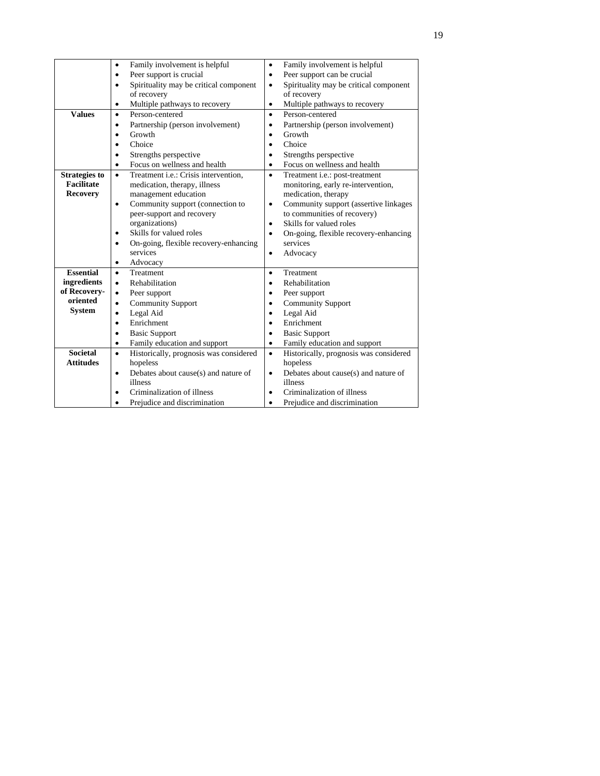|                          | Family involvement is helpful<br>$\bullet$                | Family involvement is helpful<br>$\bullet$          |
|--------------------------|-----------------------------------------------------------|-----------------------------------------------------|
|                          | Peer support is crucial<br>$\bullet$                      | Peer support can be crucial<br>$\bullet$            |
|                          | Spirituality may be critical component<br>٠               | Spirituality may be critical component<br>$\bullet$ |
|                          | of recovery                                               | of recovery                                         |
|                          | Multiple pathways to recovery<br>$\bullet$                | Multiple pathways to recovery<br>$\bullet$          |
| <b>Values</b>            | Person-centered<br>$\bullet$                              | Person-centered<br>$\bullet$                        |
|                          | Partnership (person involvement)<br>٠                     | Partnership (person involvement)<br>$\bullet$       |
|                          | Growth<br>٠                                               | Growth<br>$\bullet$                                 |
|                          | Choice<br>$\bullet$                                       | Choice<br>$\bullet$                                 |
|                          | Strengths perspective<br>٠                                | Strengths perspective                               |
|                          | Focus on wellness and health<br>$\bullet$                 | Focus on wellness and health<br>$\bullet$           |
| <b>Strategies to</b>     | Treatment <i>i.e.</i> : Crisis intervention.<br>$\bullet$ | Treatment i.e.: post-treatment<br>$\bullet$         |
| <b>Facilitate</b>        | medication, therapy, illness                              | monitoring, early re-intervention,                  |
| <b>Recovery</b>          | management education                                      | medication, therapy                                 |
|                          | Community support (connection to<br>$\bullet$             | Community support (assertive linkages<br>$\bullet$  |
|                          | peer-support and recovery                                 | to communities of recovery)                         |
|                          | organizations)                                            | Skills for valued roles<br>$\bullet$                |
|                          | Skills for valued roles<br>$\bullet$                      | On-going, flexible recovery-enhancing<br>$\bullet$  |
|                          | On-going, flexible recovery-enhancing<br>٠                | services                                            |
|                          | services                                                  | Advocacy<br>$\bullet$                               |
|                          | Advocacy<br>$\bullet$                                     |                                                     |
| <b>Essential</b>         | Treatment<br>$\bullet$                                    | Treatment<br>$\bullet$                              |
| ingredients              | Rehabilitation<br>$\bullet$                               | Rehabilitation<br>$\bullet$                         |
| of Recovery-<br>oriented | Peer support<br>$\bullet$                                 | Peer support<br>$\bullet$                           |
| <b>System</b>            | <b>Community Support</b><br>$\bullet$                     | <b>Community Support</b><br>$\bullet$               |
|                          | Legal Aid<br>$\bullet$                                    | Legal Aid                                           |
|                          | Enrichment<br>$\bullet$                                   | Enrichment<br>$\bullet$                             |
|                          | <b>Basic Support</b><br>$\bullet$                         | <b>Basic Support</b>                                |
|                          | Family education and support<br>$\bullet$                 | Family education and support<br>$\bullet$           |
| <b>Societal</b>          | Historically, prognosis was considered<br>$\bullet$       | Historically, prognosis was considered<br>$\bullet$ |
| <b>Attitudes</b>         | hopeless                                                  | hopeless                                            |
|                          | Debates about cause(s) and nature of<br>$\bullet$         | Debates about cause(s) and nature of<br>$\bullet$   |
|                          | illness                                                   | illness                                             |
|                          | Criminalization of illness                                | Criminalization of illness<br>$\bullet$             |
|                          | Prejudice and discrimination                              | Prejudice and discrimination                        |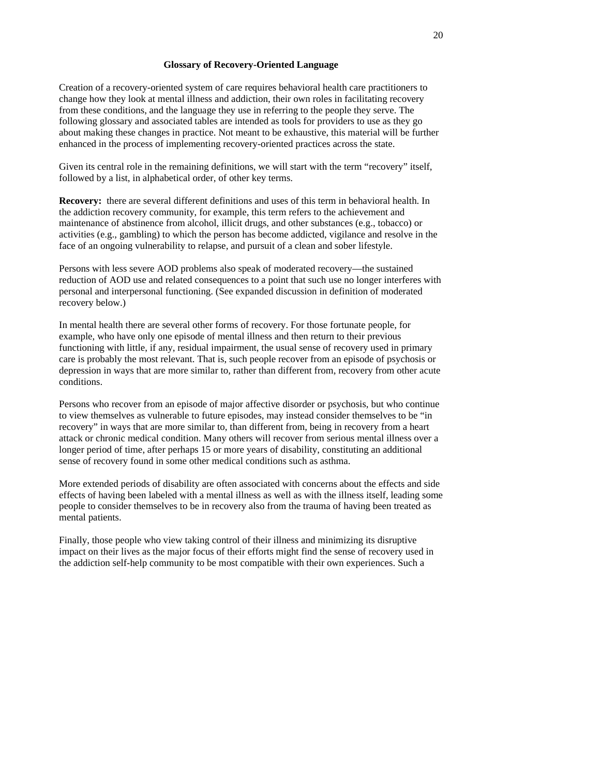## **Glossary of Recovery-Oriented Language**

Creation of a recovery-oriented system of care requires behavioral health care practitioners to change how they look at mental illness and addiction, their own roles in facilitating recovery from these conditions, and the language they use in referring to the people they serve. The following glossary and associated tables are intended as tools for providers to use as they go about making these changes in practice. Not meant to be exhaustive, this material will be further enhanced in the process of implementing recovery-oriented practices across the state.

Given its central role in the remaining definitions, we will start with the term "recovery" itself, followed by a list, in alphabetical order, of other key terms.

**Recovery:** there are several different definitions and uses of this term in behavioral health. In the addiction recovery community, for example, this term refers to the achievement and maintenance of abstinence from alcohol, illicit drugs, and other substances (e.g., tobacco) or activities (e.g., gambling) to which the person has become addicted, vigilance and resolve in the face of an ongoing vulnerability to relapse, and pursuit of a clean and sober lifestyle.

Persons with less severe AOD problems also speak of moderated recovery—the sustained reduction of AOD use and related consequences to a point that such use no longer interferes with personal and interpersonal functioning. (See expanded discussion in definition of moderated recovery below.)

In mental health there are several other forms of recovery. For those fortunate people, for example, who have only one episode of mental illness and then return to their previous functioning with little, if any, residual impairment, the usual sense of recovery used in primary care is probably the most relevant. That is, such people recover from an episode of psychosis or depression in ways that are more similar to, rather than different from, recovery from other acute conditions.

Persons who recover from an episode of major affective disorder or psychosis, but who continue to view themselves as vulnerable to future episodes, may instead consider themselves to be "in recovery" in ways that are more similar to, than different from, being in recovery from a heart attack or chronic medical condition. Many others will recover from serious mental illness over a longer period of time, after perhaps 15 or more years of disability, constituting an additional sense of recovery found in some other medical conditions such as asthma.

More extended periods of disability are often associated with concerns about the effects and side effects of having been labeled with a mental illness as well as with the illness itself, leading some people to consider themselves to be in recovery also from the trauma of having been treated as mental patients.

Finally, those people who view taking control of their illness and minimizing its disruptive impact on their lives as the major focus of their efforts might find the sense of recovery used in the addiction self-help community to be most compatible with their own experiences. Such a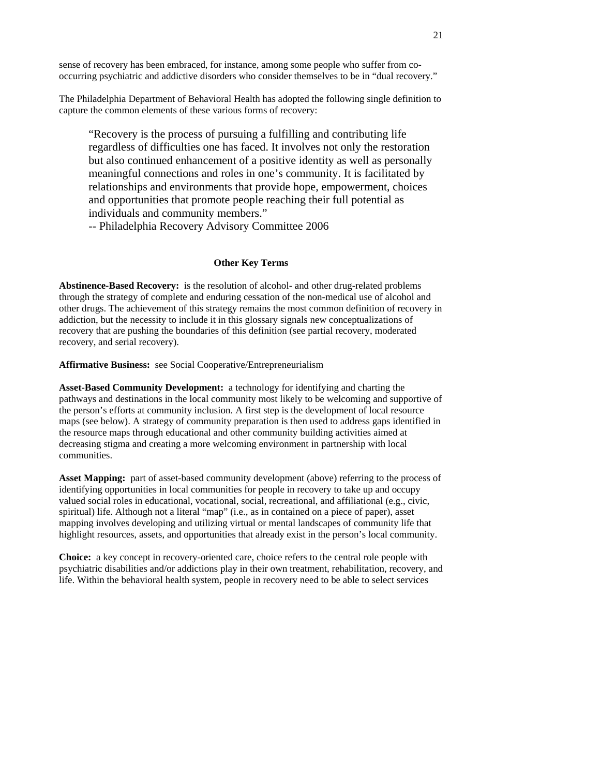sense of recovery has been embraced, for instance, among some people who suffer from cooccurring psychiatric and addictive disorders who consider themselves to be in "dual recovery."

The Philadelphia Department of Behavioral Health has adopted the following single definition to capture the common elements of these various forms of recovery:

"Recovery is the process of pursuing a fulfilling and contributing life regardless of difficulties one has faced. It involves not only the restoration but also continued enhancement of a positive identity as well as personally meaningful connections and roles in one's community. It is facilitated by relationships and environments that provide hope, empowerment, choices and opportunities that promote people reaching their full potential as individuals and community members."

-- Philadelphia Recovery Advisory Committee 2006

# **Other Key Terms**

**Abstinence-Based Recovery:** is the resolution of alcohol- and other drug-related problems through the strategy of complete and enduring cessation of the non-medical use of alcohol and other drugs. The achievement of this strategy remains the most common definition of recovery in addiction, but the necessity to include it in this glossary signals new conceptualizations of recovery that are pushing the boundaries of this definition (see partial recovery, moderated recovery, and serial recovery).

**Affirmative Business:** see Social Cooperative/Entrepreneurialism

**Asset-Based Community Development:** a technology for identifying and charting the pathways and destinations in the local community most likely to be welcoming and supportive of the person's efforts at community inclusion. A first step is the development of local resource maps (see below). A strategy of community preparation is then used to address gaps identified in the resource maps through educational and other community building activities aimed at decreasing stigma and creating a more welcoming environment in partnership with local communities.

Asset Mapping: part of asset-based community development (above) referring to the process of identifying opportunities in local communities for people in recovery to take up and occupy valued social roles in educational, vocational, social, recreational, and affiliational (e.g., civic, spiritual) life. Although not a literal "map" (i.e., as in contained on a piece of paper), asset mapping involves developing and utilizing virtual or mental landscapes of community life that highlight resources, assets, and opportunities that already exist in the person's local community.

**Choice:** a key concept in recovery-oriented care, choice refers to the central role people with psychiatric disabilities and/or addictions play in their own treatment, rehabilitation, recovery, and life. Within the behavioral health system, people in recovery need to be able to select services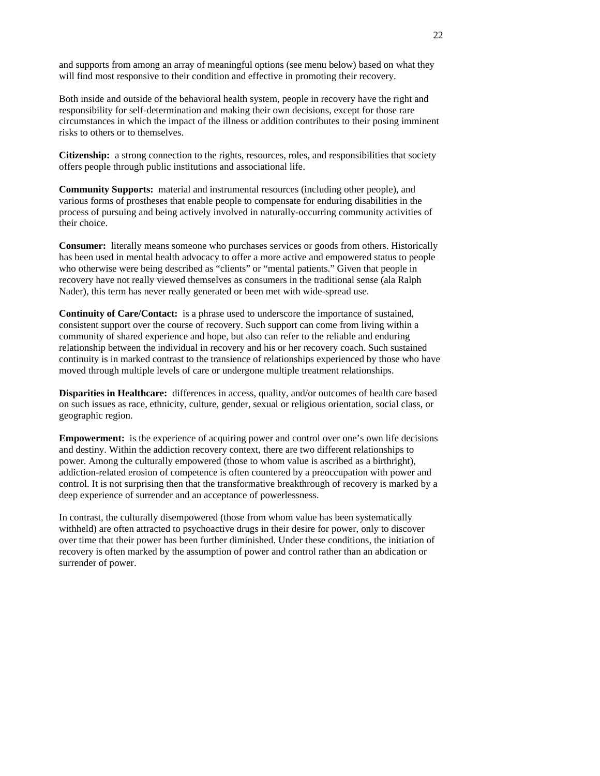and supports from among an array of meaningful options (see menu below) based on what they will find most responsive to their condition and effective in promoting their recovery.

Both inside and outside of the behavioral health system, people in recovery have the right and responsibility for self-determination and making their own decisions, except for those rare circumstances in which the impact of the illness or addition contributes to their posing imminent risks to others or to themselves.

**Citizenship:** a strong connection to the rights, resources, roles, and responsibilities that society offers people through public institutions and associational life.

**Community Supports:** material and instrumental resources (including other people), and various forms of prostheses that enable people to compensate for enduring disabilities in the process of pursuing and being actively involved in naturally-occurring community activities of their choice.

**Consumer:** literally means someone who purchases services or goods from others. Historically has been used in mental health advocacy to offer a more active and empowered status to people who otherwise were being described as "clients" or "mental patients." Given that people in recovery have not really viewed themselves as consumers in the traditional sense (ala Ralph Nader), this term has never really generated or been met with wide-spread use.

**Continuity of Care/Contact:** is a phrase used to underscore the importance of sustained, consistent support over the course of recovery. Such support can come from living within a community of shared experience and hope, but also can refer to the reliable and enduring relationship between the individual in recovery and his or her recovery coach. Such sustained continuity is in marked contrast to the transience of relationships experienced by those who have moved through multiple levels of care or undergone multiple treatment relationships.

**Disparities in Healthcare:** differences in access, quality, and/or outcomes of health care based on such issues as race, ethnicity, culture, gender, sexual or religious orientation, social class, or geographic region.

**Empowerment:** is the experience of acquiring power and control over one's own life decisions and destiny. Within the addiction recovery context, there are two different relationships to power. Among the culturally empowered (those to whom value is ascribed as a birthright), addiction-related erosion of competence is often countered by a preoccupation with power and control. It is not surprising then that the transformative breakthrough of recovery is marked by a deep experience of surrender and an acceptance of powerlessness.

In contrast, the culturally disempowered (those from whom value has been systematically withheld) are often attracted to psychoactive drugs in their desire for power, only to discover over time that their power has been further diminished. Under these conditions, the initiation of recovery is often marked by the assumption of power and control rather than an abdication or surrender of power.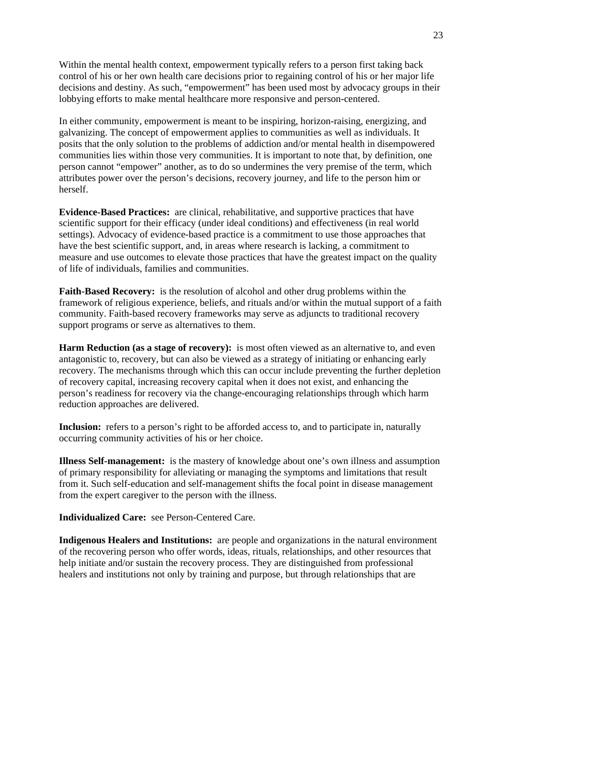Within the mental health context, empowerment typically refers to a person first taking back control of his or her own health care decisions prior to regaining control of his or her major life decisions and destiny. As such, "empowerment" has been used most by advocacy groups in their lobbying efforts to make mental healthcare more responsive and person-centered.

In either community, empowerment is meant to be inspiring, horizon-raising, energizing, and galvanizing. The concept of empowerment applies to communities as well as individuals. It posits that the only solution to the problems of addiction and/or mental health in disempowered communities lies within those very communities. It is important to note that, by definition, one person cannot "empower" another, as to do so undermines the very premise of the term, which attributes power over the person's decisions, recovery journey, and life to the person him or herself.

**Evidence-Based Practices:** are clinical, rehabilitative, and supportive practices that have scientific support for their efficacy (under ideal conditions) and effectiveness (in real world settings). Advocacy of evidence-based practice is a commitment to use those approaches that have the best scientific support, and, in areas where research is lacking, a commitment to measure and use outcomes to elevate those practices that have the greatest impact on the quality of life of individuals, families and communities.

**Faith-Based Recovery:** is the resolution of alcohol and other drug problems within the framework of religious experience, beliefs, and rituals and/or within the mutual support of a faith community. Faith-based recovery frameworks may serve as adjuncts to traditional recovery support programs or serve as alternatives to them.

**Harm Reduction (as a stage of recovery):** is most often viewed as an alternative to, and even antagonistic to, recovery, but can also be viewed as a strategy of initiating or enhancing early recovery. The mechanisms through which this can occur include preventing the further depletion of recovery capital, increasing recovery capital when it does not exist, and enhancing the person's readiness for recovery via the change-encouraging relationships through which harm reduction approaches are delivered.

**Inclusion:** refers to a person's right to be afforded access to, and to participate in, naturally occurring community activities of his or her choice.

**Illness Self-management:** is the mastery of knowledge about one's own illness and assumption of primary responsibility for alleviating or managing the symptoms and limitations that result from it. Such self-education and self-management shifts the focal point in disease management from the expert caregiver to the person with the illness.

# **Individualized Care:** see Person-Centered Care.

**Indigenous Healers and Institutions:** are people and organizations in the natural environment of the recovering person who offer words, ideas, rituals, relationships, and other resources that help initiate and/or sustain the recovery process. They are distinguished from professional healers and institutions not only by training and purpose, but through relationships that are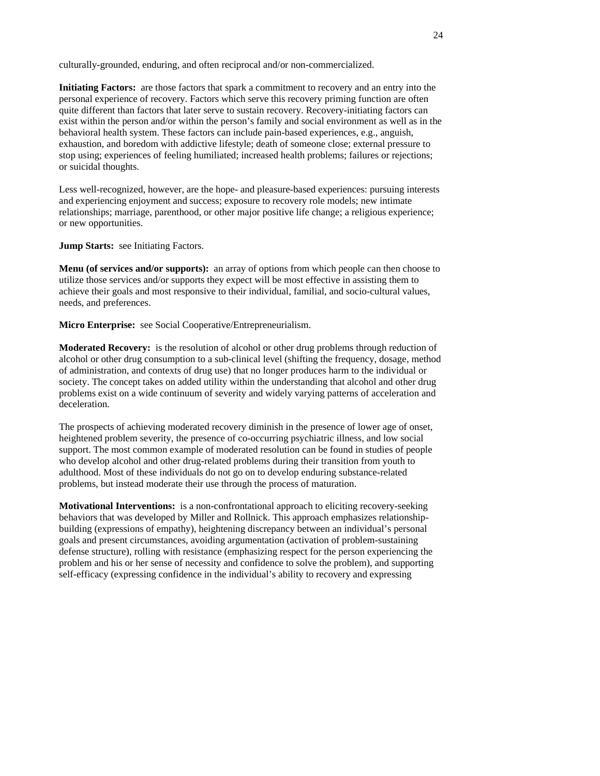culturally-grounded, enduring, and often reciprocal and/or non-commercialized.

**Initiating Factors:** are those factors that spark a commitment to recovery and an entry into the personal experience of recovery. Factors which serve this recovery priming function are often quite different than factors that later serve to sustain recovery. Recovery-initiating factors can exist within the person and/or within the person's family and social environment as well as in the behavioral health system. These factors can include pain-based experiences, e.g., anguish, exhaustion, and boredom with addictive lifestyle; death of someone close; external pressure to stop using; experiences of feeling humiliated; increased health problems; failures or rejections; or suicidal thoughts.

Less well-recognized, however, are the hope- and pleasure-based experiences: pursuing interests and experiencing enjoyment and success; exposure to recovery role models; new intimate relationships; marriage, parenthood, or other major positive life change; a religious experience; or new opportunities.

**Jump Starts:** see Initiating Factors.

**Menu (of services and/or supports):** an array of options from which people can then choose to utilize those services and/or supports they expect will be most effective in assisting them to achieve their goals and most responsive to their individual, familial, and socio-cultural values, needs, and preferences.

**Micro Enterprise:** see Social Cooperative/Entrepreneurialism.

**Moderated Recovery:** is the resolution of alcohol or other drug problems through reduction of alcohol or other drug consumption to a sub-clinical level (shifting the frequency, dosage, method of administration, and contexts of drug use) that no longer produces harm to the individual or society. The concept takes on added utility within the understanding that alcohol and other drug problems exist on a wide continuum of severity and widely varying patterns of acceleration and deceleration.

The prospects of achieving moderated recovery diminish in the presence of lower age of onset, heightened problem severity, the presence of co-occurring psychiatric illness, and low social support. The most common example of moderated resolution can be found in studies of people who develop alcohol and other drug-related problems during their transition from youth to adulthood. Most of these individuals do not go on to develop enduring substance-related problems, but instead moderate their use through the process of maturation.

**Motivational Interventions:** is a non-confrontational approach to eliciting recovery-seeking behaviors that was developed by Miller and Rollnick. This approach emphasizes relationshipbuilding (expressions of empathy), heightening discrepancy between an individual's personal goals and present circumstances, avoiding argumentation (activation of problem-sustaining defense structure), rolling with resistance (emphasizing respect for the person experiencing the problem and his or her sense of necessity and confidence to solve the problem), and supporting self-efficacy (expressing confidence in the individual's ability to recovery and expressing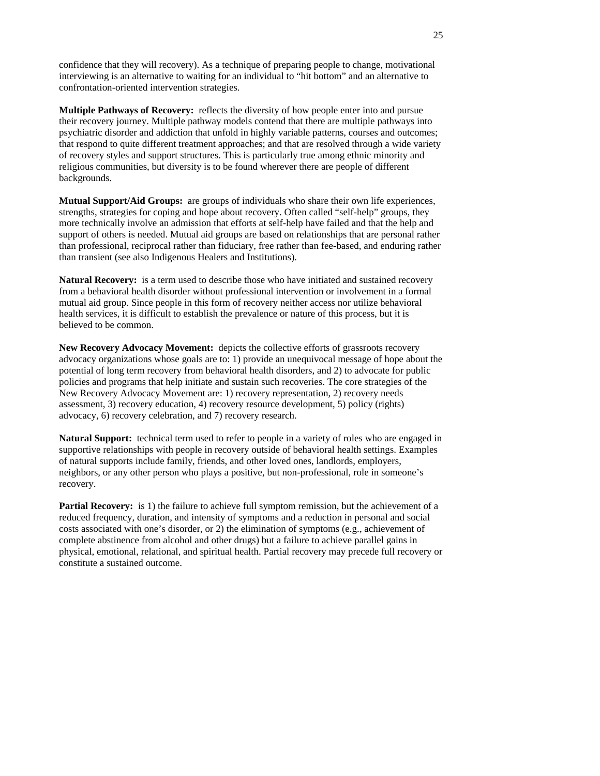confidence that they will recovery). As a technique of preparing people to change, motivational interviewing is an alternative to waiting for an individual to "hit bottom" and an alternative to confrontation-oriented intervention strategies.

**Multiple Pathways of Recovery:** reflects the diversity of how people enter into and pursue their recovery journey. Multiple pathway models contend that there are multiple pathways into psychiatric disorder and addiction that unfold in highly variable patterns, courses and outcomes; that respond to quite different treatment approaches; and that are resolved through a wide variety of recovery styles and support structures. This is particularly true among ethnic minority and religious communities, but diversity is to be found wherever there are people of different backgrounds.

**Mutual Support/Aid Groups:** are groups of individuals who share their own life experiences, strengths, strategies for coping and hope about recovery. Often called "self-help" groups, they more technically involve an admission that efforts at self-help have failed and that the help and support of others is needed. Mutual aid groups are based on relationships that are personal rather than professional, reciprocal rather than fiduciary, free rather than fee-based, and enduring rather than transient (see also Indigenous Healers and Institutions).

**Natural Recovery:** is a term used to describe those who have initiated and sustained recovery from a behavioral health disorder without professional intervention or involvement in a formal mutual aid group. Since people in this form of recovery neither access nor utilize behavioral health services, it is difficult to establish the prevalence or nature of this process, but it is believed to be common.

**New Recovery Advocacy Movement:** depicts the collective efforts of grassroots recovery advocacy organizations whose goals are to: 1) provide an unequivocal message of hope about the potential of long term recovery from behavioral health disorders, and 2) to advocate for public policies and programs that help initiate and sustain such recoveries. The core strategies of the New Recovery Advocacy Movement are: 1) recovery representation, 2) recovery needs assessment, 3) recovery education, 4) recovery resource development, 5) policy (rights) advocacy, 6) recovery celebration, and 7) recovery research.

**Natural Support:** technical term used to refer to people in a variety of roles who are engaged in supportive relationships with people in recovery outside of behavioral health settings. Examples of natural supports include family, friends, and other loved ones, landlords, employers, neighbors, or any other person who plays a positive, but non-professional, role in someone's recovery.

**Partial Recovery:** is 1) the failure to achieve full symptom remission, but the achievement of a reduced frequency, duration, and intensity of symptoms and a reduction in personal and social costs associated with one's disorder, or 2) the elimination of symptoms (e.g., achievement of complete abstinence from alcohol and other drugs) but a failure to achieve parallel gains in physical, emotional, relational, and spiritual health. Partial recovery may precede full recovery or constitute a sustained outcome.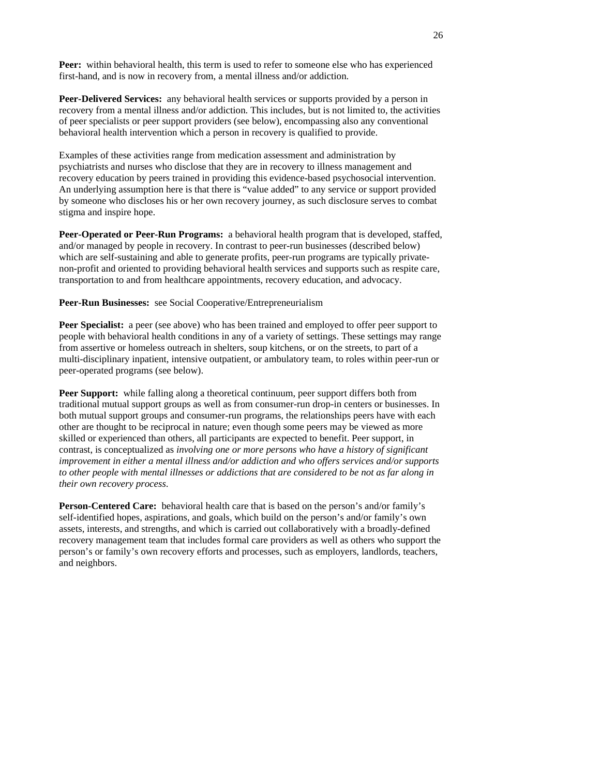**Peer:** within behavioral health, this term is used to refer to someone else who has experienced first-hand, and is now in recovery from, a mental illness and/or addiction.

**Peer-Delivered Services:** any behavioral health services or supports provided by a person in recovery from a mental illness and/or addiction. This includes, but is not limited to, the activities of peer specialists or peer support providers (see below), encompassing also any conventional behavioral health intervention which a person in recovery is qualified to provide.

Examples of these activities range from medication assessment and administration by psychiatrists and nurses who disclose that they are in recovery to illness management and recovery education by peers trained in providing this evidence-based psychosocial intervention. An underlying assumption here is that there is "value added" to any service or support provided by someone who discloses his or her own recovery journey, as such disclosure serves to combat stigma and inspire hope.

**Peer-Operated or Peer-Run Programs:** a behavioral health program that is developed, staffed, and/or managed by people in recovery. In contrast to peer-run businesses (described below) which are self-sustaining and able to generate profits, peer-run programs are typically privatenon-profit and oriented to providing behavioral health services and supports such as respite care, transportation to and from healthcare appointments, recovery education, and advocacy.

## **Peer-Run Businesses:** see Social Cooperative/Entrepreneurialism

**Peer Specialist:** a peer (see above) who has been trained and employed to offer peer support to people with behavioral health conditions in any of a variety of settings. These settings may range from assertive or homeless outreach in shelters, soup kitchens, or on the streets, to part of a multi-disciplinary inpatient, intensive outpatient, or ambulatory team, to roles within peer-run or peer-operated programs (see below).

**Peer Support:** while falling along a theoretical continuum, peer support differs both from traditional mutual support groups as well as from consumer-run drop-in centers or businesses. In both mutual support groups and consumer-run programs, the relationships peers have with each other are thought to be reciprocal in nature; even though some peers may be viewed as more skilled or experienced than others, all participants are expected to benefit. Peer support, in contrast, is conceptualized as *involving one or more persons who have a history of significant improvement in either a mental illness and/or addiction and who offers services and/or supports to other people with mental illnesses or addictions that are considered to be not as far along in their own recovery process*.

**Person-Centered Care:** behavioral health care that is based on the person's and/or family's self-identified hopes, aspirations, and goals, which build on the person's and/or family's own assets, interests, and strengths, and which is carried out collaboratively with a broadly-defined recovery management team that includes formal care providers as well as others who support the person's or family's own recovery efforts and processes, such as employers, landlords, teachers, and neighbors.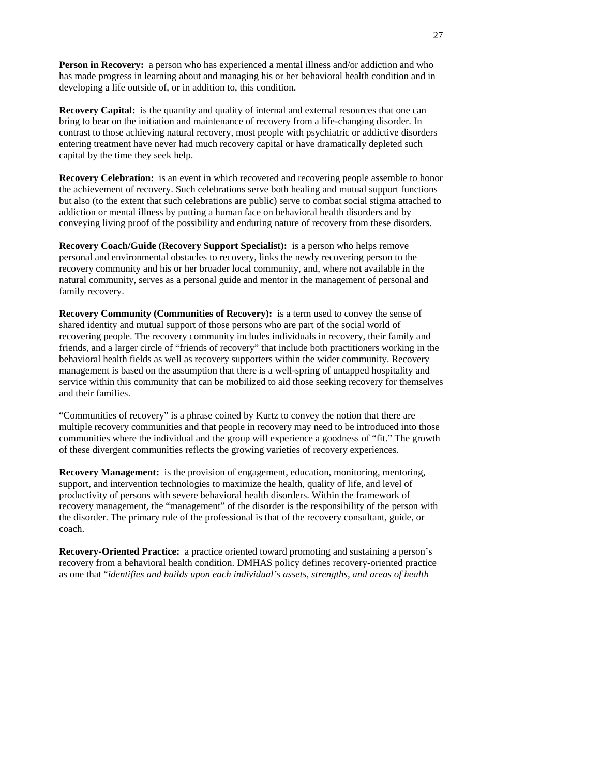**Person in Recovery:** a person who has experienced a mental illness and/or addiction and who has made progress in learning about and managing his or her behavioral health condition and in developing a life outside of, or in addition to, this condition.

**Recovery Capital:** is the quantity and quality of internal and external resources that one can bring to bear on the initiation and maintenance of recovery from a life-changing disorder. In contrast to those achieving natural recovery, most people with psychiatric or addictive disorders entering treatment have never had much recovery capital or have dramatically depleted such capital by the time they seek help.

**Recovery Celebration:** is an event in which recovered and recovering people assemble to honor the achievement of recovery. Such celebrations serve both healing and mutual support functions but also (to the extent that such celebrations are public) serve to combat social stigma attached to addiction or mental illness by putting a human face on behavioral health disorders and by conveying living proof of the possibility and enduring nature of recovery from these disorders.

**Recovery Coach/Guide (Recovery Support Specialist):** is a person who helps remove personal and environmental obstacles to recovery, links the newly recovering person to the recovery community and his or her broader local community, and, where not available in the natural community, serves as a personal guide and mentor in the management of personal and family recovery.

**Recovery Community (Communities of Recovery):** is a term used to convey the sense of shared identity and mutual support of those persons who are part of the social world of recovering people. The recovery community includes individuals in recovery, their family and friends, and a larger circle of "friends of recovery" that include both practitioners working in the behavioral health fields as well as recovery supporters within the wider community. Recovery management is based on the assumption that there is a well-spring of untapped hospitality and service within this community that can be mobilized to aid those seeking recovery for themselves and their families.

"Communities of recovery" is a phrase coined by Kurtz to convey the notion that there are multiple recovery communities and that people in recovery may need to be introduced into those communities where the individual and the group will experience a goodness of "fit." The growth of these divergent communities reflects the growing varieties of recovery experiences.

**Recovery Management:** is the provision of engagement, education, monitoring, mentoring, support, and intervention technologies to maximize the health, quality of life, and level of productivity of persons with severe behavioral health disorders. Within the framework of recovery management, the "management" of the disorder is the responsibility of the person with the disorder. The primary role of the professional is that of the recovery consultant, guide, or coach.

**Recovery-Oriented Practice:** a practice oriented toward promoting and sustaining a person's recovery from a behavioral health condition. DMHAS policy defines recovery-oriented practice as one that "*identifies and builds upon each individual's assets, strengths, and areas of health*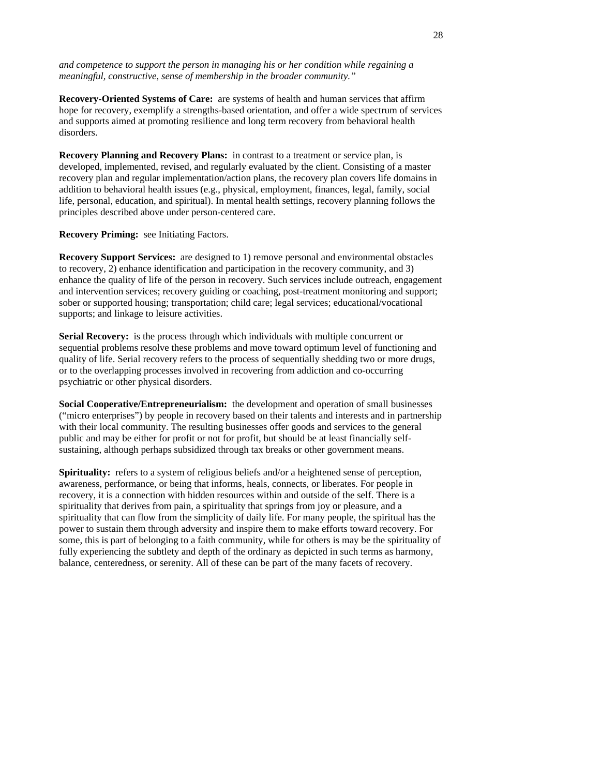*and competence to support the person in managing his or her condition while regaining a meaningful, constructive, sense of membership in the broader community."* 

**Recovery-Oriented Systems of Care:** are systems of health and human services that affirm hope for recovery, exemplify a strengths-based orientation, and offer a wide spectrum of services and supports aimed at promoting resilience and long term recovery from behavioral health disorders.

**Recovery Planning and Recovery Plans:** in contrast to a treatment or service plan, is developed, implemented, revised, and regularly evaluated by the client. Consisting of a master recovery plan and regular implementation/action plans, the recovery plan covers life domains in addition to behavioral health issues (e.g., physical, employment, finances, legal, family, social life, personal, education, and spiritual). In mental health settings, recovery planning follows the principles described above under person-centered care.

**Recovery Priming:** see Initiating Factors.

**Recovery Support Services:** are designed to 1) remove personal and environmental obstacles to recovery, 2) enhance identification and participation in the recovery community, and 3) enhance the quality of life of the person in recovery. Such services include outreach, engagement and intervention services; recovery guiding or coaching, post-treatment monitoring and support; sober or supported housing; transportation; child care; legal services; educational/vocational supports; and linkage to leisure activities.

**Serial Recovery:** is the process through which individuals with multiple concurrent or sequential problems resolve these problems and move toward optimum level of functioning and quality of life. Serial recovery refers to the process of sequentially shedding two or more drugs, or to the overlapping processes involved in recovering from addiction and co-occurring psychiatric or other physical disorders.

**Social Cooperative/Entrepreneurialism:** the development and operation of small businesses ("micro enterprises") by people in recovery based on their talents and interests and in partnership with their local community. The resulting businesses offer goods and services to the general public and may be either for profit or not for profit, but should be at least financially selfsustaining, although perhaps subsidized through tax breaks or other government means.

**Spirituality:** refers to a system of religious beliefs and/or a heightened sense of perception, awareness, performance, or being that informs, heals, connects, or liberates. For people in recovery, it is a connection with hidden resources within and outside of the self. There is a spirituality that derives from pain, a spirituality that springs from joy or pleasure, and a spirituality that can flow from the simplicity of daily life. For many people, the spiritual has the power to sustain them through adversity and inspire them to make efforts toward recovery. For some, this is part of belonging to a faith community, while for others is may be the spirituality of fully experiencing the subtlety and depth of the ordinary as depicted in such terms as harmony, balance, centeredness, or serenity. All of these can be part of the many facets of recovery.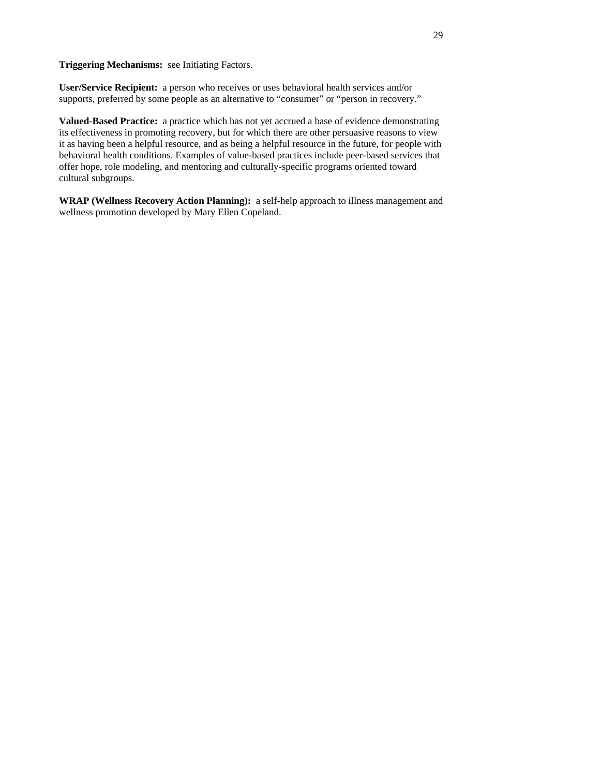**Triggering Mechanisms:** see Initiating Factors.

**User/Service Recipient:** a person who receives or uses behavioral health services and/or supports, preferred by some people as an alternative to "consumer" or "person in recovery."

**Valued-Based Practice:** a practice which has not yet accrued a base of evidence demonstrating its effectiveness in promoting recovery, but for which there are other persuasive reasons to view it as having been a helpful resource, and as being a helpful resource in the future, for people with behavioral health conditions. Examples of value-based practices include peer-based services that offer hope, role modeling, and mentoring and culturally-specific programs oriented toward cultural subgroups.

**WRAP (Wellness Recovery Action Planning):** a self-help approach to illness management and wellness promotion developed by Mary Ellen Copeland.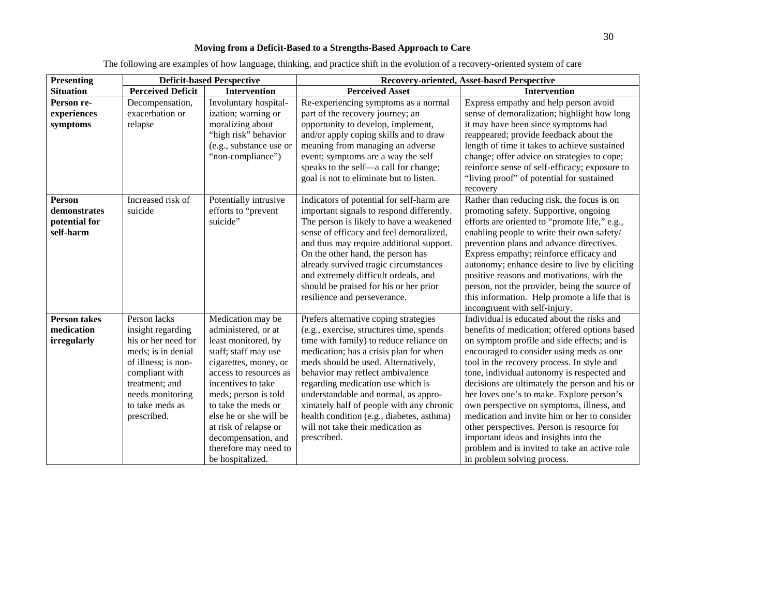# **Moving from a Deficit-Based to a Strengths-Based Approach to Care**

| <b>Presenting</b>                                           | <b>Deficit-based Perspective</b>                                                                                                                                                                |                                                                                                                                                                                                                                                                                                                                        | <b>Recovery-oriented, Asset-based Perspective</b>                                                                                                                                                                                                                                                                                                                                                                                                                            |                                                                                                                                                                                                                                                                                                                                                                                                                                                                                                                                                                                                                                                       |  |  |  |
|-------------------------------------------------------------|-------------------------------------------------------------------------------------------------------------------------------------------------------------------------------------------------|----------------------------------------------------------------------------------------------------------------------------------------------------------------------------------------------------------------------------------------------------------------------------------------------------------------------------------------|------------------------------------------------------------------------------------------------------------------------------------------------------------------------------------------------------------------------------------------------------------------------------------------------------------------------------------------------------------------------------------------------------------------------------------------------------------------------------|-------------------------------------------------------------------------------------------------------------------------------------------------------------------------------------------------------------------------------------------------------------------------------------------------------------------------------------------------------------------------------------------------------------------------------------------------------------------------------------------------------------------------------------------------------------------------------------------------------------------------------------------------------|--|--|--|
| <b>Situation</b>                                            | <b>Perceived Deficit</b>                                                                                                                                                                        | <b>Intervention</b>                                                                                                                                                                                                                                                                                                                    | <b>Perceived Asset</b>                                                                                                                                                                                                                                                                                                                                                                                                                                                       | Intervention                                                                                                                                                                                                                                                                                                                                                                                                                                                                                                                                                                                                                                          |  |  |  |
| Person re-<br>experiences<br>symptoms                       | Decompensation,<br>exacerbation or<br>relapse                                                                                                                                                   | Involuntary hospital-<br>ization; warning or<br>moralizing about<br>"high risk" behavior<br>(e.g., substance use or<br>"non-compliance")                                                                                                                                                                                               | Re-experiencing symptoms as a normal<br>part of the recovery journey; an<br>opportunity to develop, implement,<br>and/or apply coping skills and to draw<br>meaning from managing an adverse<br>event; symptoms are a way the self<br>speaks to the self-a call for change;<br>goal is not to eliminate but to listen.                                                                                                                                                       | Express empathy and help person avoid<br>sense of demoralization; highlight how long<br>it may have been since symptoms had<br>reappeared; provide feedback about the<br>length of time it takes to achieve sustained<br>change; offer advice on strategies to cope;<br>reinforce sense of self-efficacy; exposure to<br>"living proof" of potential for sustained<br>recovery                                                                                                                                                                                                                                                                        |  |  |  |
| <b>Person</b><br>demonstrates<br>potential for<br>self-harm | Increased risk of<br>suicide                                                                                                                                                                    | Potentially intrusive<br>efforts to "prevent<br>suicide"                                                                                                                                                                                                                                                                               | Indicators of potential for self-harm are<br>important signals to respond differently.<br>The person is likely to have a weakened<br>sense of efficacy and feel demoralized,<br>and thus may require additional support.<br>On the other hand, the person has<br>already survived tragic circumstances<br>and extremely difficult ordeals, and<br>should be praised for his or her prior<br>resilience and perseverance.                                                     | Rather than reducing risk, the focus is on<br>promoting safety. Supportive, ongoing<br>efforts are oriented to "promote life," e.g.,<br>enabling people to write their own safety/<br>prevention plans and advance directives.<br>Express empathy; reinforce efficacy and<br>autonomy; enhance desire to live by eliciting<br>positive reasons and motivations, with the<br>person, not the provider, being the source of<br>this information. Help promote a life that is<br>incongruent with self-injury.                                                                                                                                           |  |  |  |
| <b>Person takes</b><br>medication<br>irregularly            | Person lacks<br>insight regarding<br>his or her need for<br>meds; is in denial<br>of illness; is non-<br>compliant with<br>treatment: and<br>needs monitoring<br>to take meds as<br>prescribed. | Medication may be<br>administered, or at<br>least monitored, by<br>staff; staff may use<br>cigarettes, money, or<br>access to resources as<br>incentives to take<br>meds; person is told<br>to take the meds or<br>else he or she will be<br>at risk of relapse or<br>decompensation, and<br>therefore may need to<br>be hospitalized. | Prefers alternative coping strategies<br>(e.g., exercise, structures time, spends)<br>time with family) to reduce reliance on<br>medication; has a crisis plan for when<br>meds should be used. Alternatively,<br>behavior may reflect ambivalence<br>regarding medication use which is<br>understandable and normal, as appro-<br>ximately half of people with any chronic<br>health condition (e.g., diabetes, asthma)<br>will not take their medication as<br>prescribed. | Individual is educated about the risks and<br>benefits of medication; offered options based<br>on symptom profile and side effects; and is<br>encouraged to consider using meds as one<br>tool in the recovery process. In style and<br>tone, individual autonomy is respected and<br>decisions are ultimately the person and his or<br>her loves one's to make. Explore person's<br>own perspective on symptoms, illness, and<br>medication and invite him or her to consider<br>other perspectives. Person is resource for<br>important ideas and insights into the<br>problem and is invited to take an active role<br>in problem solving process. |  |  |  |

The following are examples of how language, thinking, and practice shift in the evolution of a recovery-oriented system of care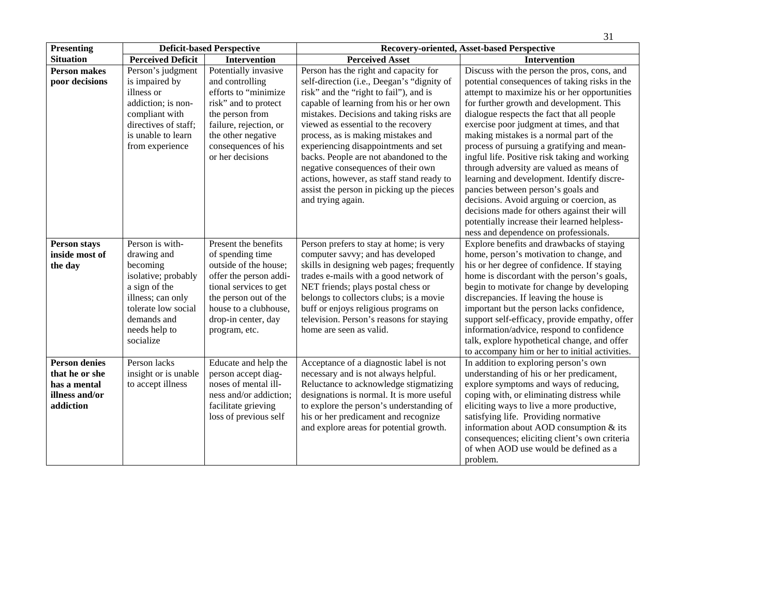| <b>Presenting</b>                                                                     | <b>Deficit-based Perspective</b>                                                                                                                                            |                                                                                                                                                                                                                 | Recovery-oriented, Asset-based Perspective                                                                                                                                                                                                                                                                                                                                                                                                                                                                                                |                                                                                                                                                                                                                                                                                                                                                                                                                                                                                                                                                                                                                                                                                                                                                    |  |
|---------------------------------------------------------------------------------------|-----------------------------------------------------------------------------------------------------------------------------------------------------------------------------|-----------------------------------------------------------------------------------------------------------------------------------------------------------------------------------------------------------------|-------------------------------------------------------------------------------------------------------------------------------------------------------------------------------------------------------------------------------------------------------------------------------------------------------------------------------------------------------------------------------------------------------------------------------------------------------------------------------------------------------------------------------------------|----------------------------------------------------------------------------------------------------------------------------------------------------------------------------------------------------------------------------------------------------------------------------------------------------------------------------------------------------------------------------------------------------------------------------------------------------------------------------------------------------------------------------------------------------------------------------------------------------------------------------------------------------------------------------------------------------------------------------------------------------|--|
| <b>Situation</b>                                                                      | <b>Perceived Deficit</b>                                                                                                                                                    | Intervention                                                                                                                                                                                                    | <b>Perceived Asset</b>                                                                                                                                                                                                                                                                                                                                                                                                                                                                                                                    | <b>Intervention</b>                                                                                                                                                                                                                                                                                                                                                                                                                                                                                                                                                                                                                                                                                                                                |  |
| <b>Person makes</b><br>poor decisions                                                 | Person's judgment<br>is impaired by<br>illness or<br>addiction; is non-<br>compliant with<br>directives of staff;<br>is unable to learn<br>from experience                  | Potentially invasive<br>and controlling<br>efforts to "minimize<br>risk" and to protect<br>the person from<br>failure, rejection, or<br>the other negative<br>consequences of his<br>or her decisions           | Person has the right and capacity for<br>self-direction (i.e., Deegan's "dignity of<br>risk" and the "right to fail"), and is<br>capable of learning from his or her own<br>mistakes. Decisions and taking risks are<br>viewed as essential to the recovery<br>process, as is making mistakes and<br>experiencing disappointments and set<br>backs. People are not abandoned to the<br>negative consequences of their own<br>actions, however, as staff stand ready to<br>assist the person in picking up the pieces<br>and trying again. | Discuss with the person the pros, cons, and<br>potential consequences of taking risks in the<br>attempt to maximize his or her opportunities<br>for further growth and development. This<br>dialogue respects the fact that all people<br>exercise poor judgment at times, and that<br>making mistakes is a normal part of the<br>process of pursuing a gratifying and mean-<br>ingful life. Positive risk taking and working<br>through adversity are valued as means of<br>learning and development. Identify discre-<br>pancies between person's goals and<br>decisions. Avoid arguing or coercion, as<br>decisions made for others against their will<br>potentially increase their learned helpless-<br>ness and dependence on professionals. |  |
| Person stays<br>inside most of<br>the day                                             | Person is with-<br>drawing and<br>becoming<br>isolative; probably<br>a sign of the<br>illness; can only<br>tolerate low social<br>demands and<br>needs help to<br>socialize | Present the benefits<br>of spending time<br>outside of the house;<br>offer the person addi-<br>tional services to get<br>the person out of the<br>house to a clubhouse,<br>drop-in center, day<br>program, etc. | Person prefers to stay at home; is very<br>computer savvy; and has developed<br>skills in designing web pages; frequently<br>trades e-mails with a good network of<br>NET friends; plays postal chess or<br>belongs to collectors clubs; is a movie<br>buff or enjoys religious programs on<br>television. Person's reasons for staying<br>home are seen as valid.                                                                                                                                                                        | Explore benefits and drawbacks of staying<br>home, person's motivation to change, and<br>his or her degree of confidence. If staying<br>home is discordant with the person's goals,<br>begin to motivate for change by developing<br>discrepancies. If leaving the house is<br>important but the person lacks confidence,<br>support self-efficacy, provide empathy, offer<br>information/advice, respond to confidence<br>talk, explore hypothetical change, and offer<br>to accompany him or her to initial activities.                                                                                                                                                                                                                          |  |
| <b>Person denies</b><br>that he or she<br>has a mental<br>illness and/or<br>addiction | Person lacks<br>insight or is unable<br>to accept illness                                                                                                                   | Educate and help the<br>person accept diag-<br>noses of mental ill-<br>ness and/or addiction;<br>facilitate grieving<br>loss of previous self                                                                   | Acceptance of a diagnostic label is not<br>necessary and is not always helpful.<br>Reluctance to acknowledge stigmatizing<br>designations is normal. It is more useful<br>to explore the person's understanding of<br>his or her predicament and recognize<br>and explore areas for potential growth.                                                                                                                                                                                                                                     | In addition to exploring person's own<br>understanding of his or her predicament,<br>explore symptoms and ways of reducing,<br>coping with, or eliminating distress while<br>eliciting ways to live a more productive,<br>satisfying life. Providing normative<br>information about AOD consumption & its<br>consequences; eliciting client's own criteria<br>of when AOD use would be defined as a<br>problem.                                                                                                                                                                                                                                                                                                                                    |  |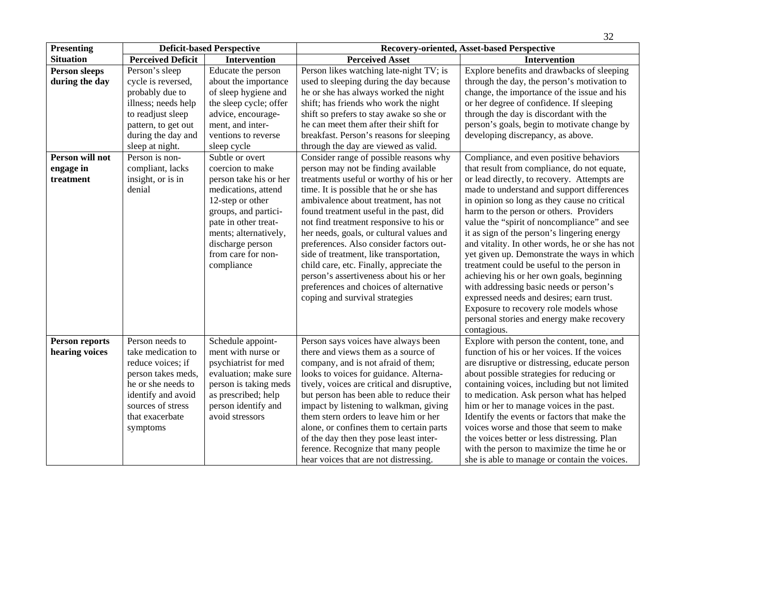| <b>Presenting</b>                                                                   | <b>Deficit-based Perspective</b>                                                                                                                                                                                                         |                                                                                                                                                                                                                                                                                                                                                                                                             | <b>Recovery-oriented, Asset-based Perspective</b>                                                                                                                                                                                                                                                                                                                                                                                                                                                                                                                                                                                                                                                                                                                                       |                                                                                                                                                                                                                                                                                                                                                                                                                                                                                                                                                                                                                                                                                                                                                                                                      |  |
|-------------------------------------------------------------------------------------|------------------------------------------------------------------------------------------------------------------------------------------------------------------------------------------------------------------------------------------|-------------------------------------------------------------------------------------------------------------------------------------------------------------------------------------------------------------------------------------------------------------------------------------------------------------------------------------------------------------------------------------------------------------|-----------------------------------------------------------------------------------------------------------------------------------------------------------------------------------------------------------------------------------------------------------------------------------------------------------------------------------------------------------------------------------------------------------------------------------------------------------------------------------------------------------------------------------------------------------------------------------------------------------------------------------------------------------------------------------------------------------------------------------------------------------------------------------------|------------------------------------------------------------------------------------------------------------------------------------------------------------------------------------------------------------------------------------------------------------------------------------------------------------------------------------------------------------------------------------------------------------------------------------------------------------------------------------------------------------------------------------------------------------------------------------------------------------------------------------------------------------------------------------------------------------------------------------------------------------------------------------------------------|--|
| <b>Situation</b>                                                                    | <b>Perceived Deficit</b>                                                                                                                                                                                                                 | <b>Intervention</b>                                                                                                                                                                                                                                                                                                                                                                                         | <b>Perceived Asset</b>                                                                                                                                                                                                                                                                                                                                                                                                                                                                                                                                                                                                                                                                                                                                                                  | <b>Intervention</b>                                                                                                                                                                                                                                                                                                                                                                                                                                                                                                                                                                                                                                                                                                                                                                                  |  |
| <b>Person sleeps</b><br>during the day<br>Person will not<br>engage in<br>treatment | Person's sleep<br>cycle is reversed,<br>probably due to<br>illness; needs help<br>to readjust sleep<br>pattern, to get out<br>during the day and<br>sleep at night.<br>Person is non-<br>compliant, lacks<br>insight, or is in<br>denial | Educate the person<br>about the importance<br>of sleep hygiene and<br>the sleep cycle; offer<br>advice, encourage-<br>ment, and inter-<br>ventions to reverse<br>sleep cycle<br>Subtle or overt<br>coercion to make<br>person take his or her<br>medications, attend<br>12-step or other<br>groups, and partici-<br>pate in other treat-<br>ments; alternatively,<br>discharge person<br>from care for non- | Person likes watching late-night TV; is<br>used to sleeping during the day because<br>he or she has always worked the night<br>shift; has friends who work the night<br>shift so prefers to stay awake so she or<br>he can meet them after their shift for<br>breakfast. Person's reasons for sleeping<br>through the day are viewed as valid.<br>Consider range of possible reasons why<br>person may not be finding available<br>treatments useful or worthy of his or her<br>time. It is possible that he or she has<br>ambivalence about treatment, has not<br>found treatment useful in the past, did<br>not find treatment responsive to his or<br>her needs, goals, or cultural values and<br>preferences. Also consider factors out-<br>side of treatment, like transportation, | Explore benefits and drawbacks of sleeping<br>through the day, the person's motivation to<br>change, the importance of the issue and his<br>or her degree of confidence. If sleeping<br>through the day is discordant with the<br>person's goals, begin to motivate change by<br>developing discrepancy, as above.<br>Compliance, and even positive behaviors<br>that result from compliance, do not equate,<br>or lead directly, to recovery. Attempts are<br>made to understand and support differences<br>in opinion so long as they cause no critical<br>harm to the person or others. Providers<br>value the "spirit of noncompliance" and see<br>it as sign of the person's lingering energy<br>and vitality. In other words, he or she has not<br>yet given up. Demonstrate the ways in which |  |
|                                                                                     |                                                                                                                                                                                                                                          | compliance                                                                                                                                                                                                                                                                                                                                                                                                  | child care, etc. Finally, appreciate the<br>person's assertiveness about his or her<br>preferences and choices of alternative<br>coping and survival strategies                                                                                                                                                                                                                                                                                                                                                                                                                                                                                                                                                                                                                         | treatment could be useful to the person in<br>achieving his or her own goals, beginning<br>with addressing basic needs or person's<br>expressed needs and desires; earn trust.<br>Exposure to recovery role models whose<br>personal stories and energy make recovery<br>contagious.                                                                                                                                                                                                                                                                                                                                                                                                                                                                                                                 |  |
| Person reports                                                                      | Person needs to                                                                                                                                                                                                                          | Schedule appoint-                                                                                                                                                                                                                                                                                                                                                                                           | Person says voices have always been                                                                                                                                                                                                                                                                                                                                                                                                                                                                                                                                                                                                                                                                                                                                                     | Explore with person the content, tone, and                                                                                                                                                                                                                                                                                                                                                                                                                                                                                                                                                                                                                                                                                                                                                           |  |
| hearing voices                                                                      | take medication to<br>reduce voices; if<br>person takes meds,<br>he or she needs to<br>identify and avoid<br>sources of stress<br>that exacerbate<br>symptoms                                                                            | ment with nurse or<br>psychiatrist for med<br>evaluation; make sure<br>person is taking meds<br>as prescribed; help<br>person identify and<br>avoid stressors                                                                                                                                                                                                                                               | there and views them as a source of<br>company, and is not afraid of them;<br>looks to voices for guidance. Alterna-<br>tively, voices are critical and disruptive,<br>but person has been able to reduce their<br>impact by listening to walkman, giving<br>them stern orders to leave him or her<br>alone, or confines them to certain parts<br>of the day then they pose least inter-<br>ference. Recognize that many people<br>hear voices that are not distressing.                                                                                                                                                                                                                                                                                                                | function of his or her voices. If the voices<br>are disruptive or distressing, educate person<br>about possible strategies for reducing or<br>containing voices, including but not limited<br>to medication. Ask person what has helped<br>him or her to manage voices in the past.<br>Identify the events or factors that make the<br>voices worse and those that seem to make<br>the voices better or less distressing. Plan<br>with the person to maximize the time he or<br>she is able to manage or contain the voices.                                                                                                                                                                                                                                                                         |  |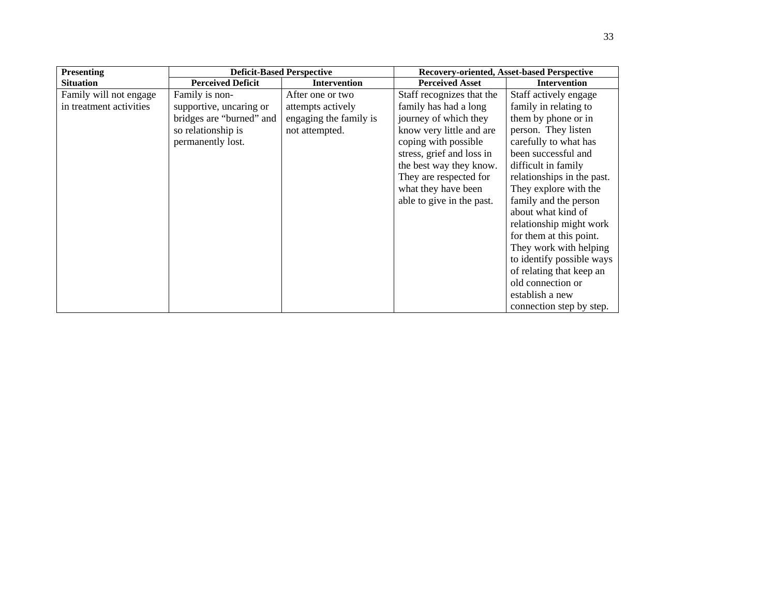| <b>Presenting</b>       | <b>Deficit-Based Perspective</b> |                        | <b>Recovery-oriented, Asset-based Perspective</b> |                            |  |
|-------------------------|----------------------------------|------------------------|---------------------------------------------------|----------------------------|--|
| <b>Situation</b>        | <b>Perceived Deficit</b>         | <b>Intervention</b>    | <b>Perceived Asset</b>                            | <b>Intervention</b>        |  |
| Family will not engage  | Family is non-                   | After one or two       | Staff recognizes that the                         | Staff actively engage      |  |
| in treatment activities | supportive, uncaring or          | attempts actively      | family has had a long                             | family in relating to      |  |
|                         | bridges are "burned" and         | engaging the family is | journey of which they                             | them by phone or in        |  |
|                         | so relationship is               | not attempted.         | know very little and are                          | person. They listen        |  |
|                         | permanently lost.                |                        | coping with possible                              | carefully to what has      |  |
|                         |                                  |                        | stress, grief and loss in                         | been successful and        |  |
|                         |                                  |                        | the best way they know.                           | difficult in family        |  |
|                         |                                  |                        | They are respected for                            | relationships in the past. |  |
|                         |                                  |                        | what they have been                               | They explore with the      |  |
|                         |                                  |                        | able to give in the past.                         | family and the person      |  |
|                         |                                  |                        |                                                   | about what kind of         |  |
|                         |                                  |                        |                                                   | relationship might work    |  |
|                         |                                  |                        |                                                   | for them at this point.    |  |
|                         |                                  |                        |                                                   | They work with helping     |  |
|                         |                                  |                        |                                                   | to identify possible ways  |  |
|                         |                                  |                        |                                                   | of relating that keep an   |  |
|                         |                                  |                        |                                                   | old connection or          |  |
|                         |                                  |                        |                                                   | establish a new            |  |
|                         |                                  |                        |                                                   | connection step by step.   |  |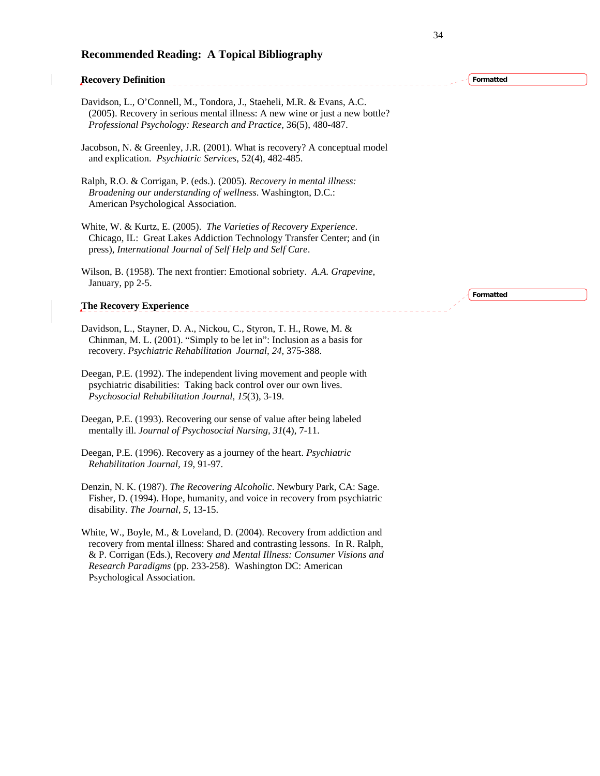# **Recommended Reading: A Topical Bibliography Recovery Definition**  Davidson, L., O'Connell, M., Tondora, J., Staeheli, M.R. & Evans, A.C. (2005). Recovery in serious mental illness: A new wine or just a new bottle? *Professional Psychology: Research and Practice,* 36(5), 480-487. Jacobson, N. & Greenley, J.R. (2001). What is recovery? A conceptual model and explication. *Psychiatric Services*, 52(4), 482-485. Ralph, R.O. & Corrigan, P. (eds.). (2005). *Recovery in mental illness: Broadening our understanding of wellness*. Washington, D.C.: American Psychological Association. White, W. & Kurtz, E. (2005). *The Varieties of Recovery Experience*. Chicago, IL: Great Lakes Addiction Technology Transfer Center; and (in press), *International Journal of Self Help and Self Care*. Wilson, B. (1958). The next frontier: Emotional sobriety. *A.A. Grapevine*, January, pp 2-5. **The Recovery Experience**  Davidson, L., Stayner, D. A., Nickou, C., Styron, T. H., Rowe, M. & Chinman, M. L. (2001). "Simply to be let in": Inclusion as a basis for recovery. *Psychiatric Rehabilitation Journal, 24*, 375-388. Deegan, P.E. (1992). The independent living movement and people with psychiatric disabilities: Taking back control over our own lives. *Psychosocial Rehabilitation Journal, 15*(3), 3-19. Deegan, P.E. (1993). Recovering our sense of value after being labeled mentally ill. *Journal of Psychosocial Nursing, 31*(4), 7-11. Deegan, P.E. (1996). Recovery as a journey of the heart. *Psychiatric Rehabilitation Journal, 19*, 91-97. Denzin, N. K. (1987). *The Recovering Alcoholic*. Newbury Park, CA: Sage. Fisher, D. (1994). Hope, humanity, and voice in recovery from psychiatric disability. *The Journal, 5,* 13-15. White, W., Boyle, M., & Loveland, D. (2004). Recovery from addiction and **Formatted Formatted**

34

 recovery from mental illness: Shared and contrasting lessons. In R. Ralph, & P. Corrigan (Eds.), Recovery *and Mental Illness: Consumer Visions and Research Paradigms* (pp. 233-258). Washington DC: American Psychological Association.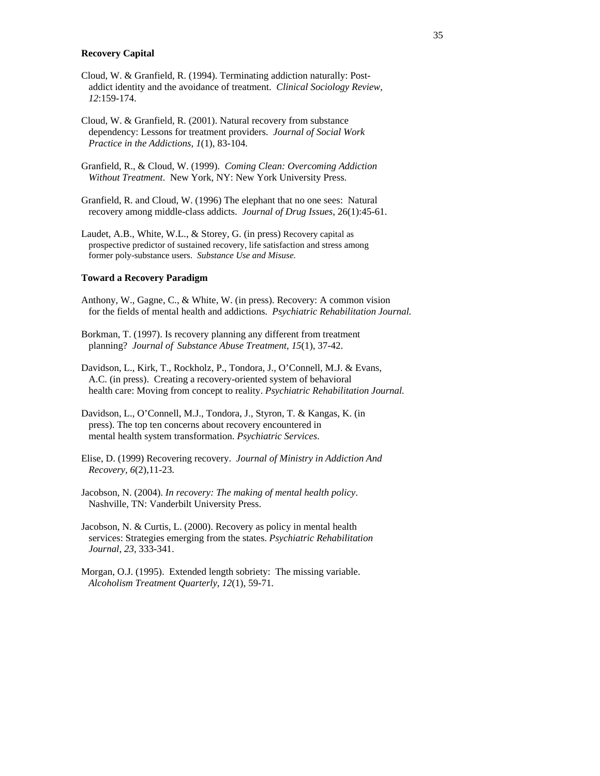### **Recovery Capital**

- Cloud, W. & Granfield, R. (1994). Terminating addiction naturally: Post addict identity and the avoidance of treatment. *Clinical Sociology Review, 12*:159-174.
- Cloud, W. & Granfield, R. (2001). Natural recovery from substance dependency: Lessons for treatment providers. *Journal of Social Work Practice in the Addictions, 1*(1), 83-104.
- Granfield, R., & Cloud, W. (1999). *Coming Clean: Overcoming Addiction Without Treatment*. New York, NY: New York University Press.
- Granfield, R. and Cloud, W. (1996) The elephant that no one sees: Natural recovery among middle-class addicts. *Journal of Drug Issues*, 26(1):45-61.
- Laudet, A.B., White, W.L., & Storey, G. (in press) Recovery capital as prospective predictor of sustained recovery, life satisfaction and stress among former poly-substance users. *Substance Use and Misuse.*

# **Toward a Recovery Paradigm**

- Anthony, W., Gagne, C., & White, W. (in press). Recovery: A common vision for the fields of mental health and addictions. *Psychiatric Rehabilitation Journal.*
- Borkman, T. (1997). Is recovery planning any different from treatment planning? *Journal of Substance Abuse Treatment, 15*(1), 37-42.
- Davidson, L., Kirk, T., Rockholz, P., Tondora, J., O'Connell, M.J. & Evans, A.C. (in press). Creating a recovery-oriented system of behavioral health care: Moving from concept to reality. *Psychiatric Rehabilitation Journal.*
- Davidson, L., O'Connell, M.J., Tondora, J., Styron, T. & Kangas, K. (in press). The top ten concerns about recovery encountered in mental health system transformation. *Psychiatric Services*.
- Elise, D. (1999) Recovering recovery. *Journal of Ministry in Addiction And Recovery, 6*(2),11-23.
- Jacobson, N. (2004). *In recovery: The making of mental health policy*. Nashville, TN: Vanderbilt University Press.
- Jacobson, N. & Curtis, L. (2000). Recovery as policy in mental health services: Strategies emerging from the states. *Psychiatric Rehabilitation Journal, 23,* 333-341.
- Morgan, O.J. (1995). Extended length sobriety: The missing variable. *Alcoholism Treatment Quarterly*, *12*(1), 59-71.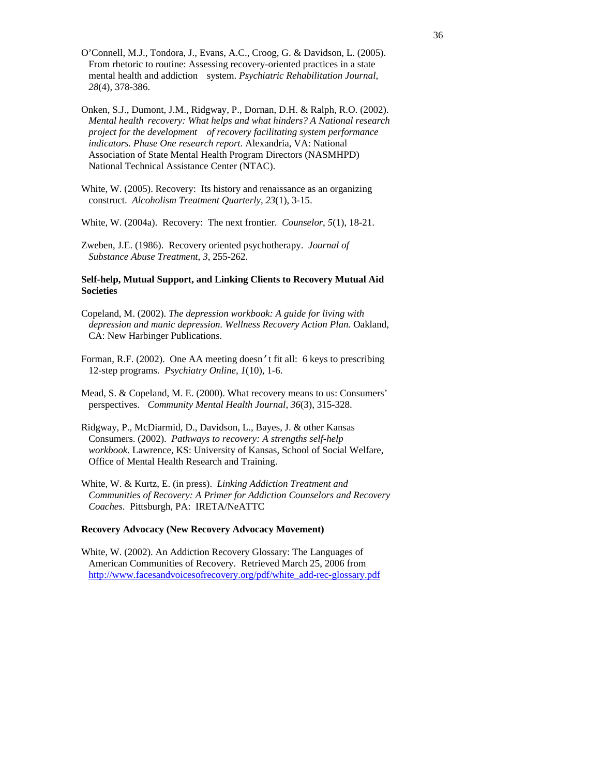- O'Connell, M.J., Tondora, J., Evans, A.C., Croog, G. & Davidson, L. (2005). From rhetoric to routine: Assessing recovery-oriented practices in a state mental health and addiction system. *Psychiatric Rehabilitation Journal, 28*(4), 378-386.
- Onken, S.J., Dumont, J.M., Ridgway, P., Dornan, D.H. & Ralph, R.O. (2002). *Mental health recovery: What helps and what hinders? A National research project for the development of recovery facilitating system performance indicators. Phase One research report.* Alexandria, VA: National Association of State Mental Health Program Directors (NASMHPD) National Technical Assistance Center (NTAC).
- White, W. (2005). Recovery: Its history and renaissance as an organizing construct. *Alcoholism Treatment Quarterly, 23*(1), 3-15.

White, W. (2004a). Recovery: The next frontier. *Counselor*, *5*(1), 18-21.

Zweben, J.E. (1986). Recovery oriented psychotherapy. *Journal of Substance Abuse Treatment*, *3*, 255-262.

# **Self-help, Mutual Support, and Linking Clients to Recovery Mutual Aid Societies**

- Copeland, M. (2002). *The depression workbook: A guide for living with depression and manic depression. Wellness Recovery Action Plan.* Oakland, CA: New Harbinger Publications.
- Forman, R.F. (2002). One AA meeting doesn't fit all: 6 keys to prescribing 12-step programs. *Psychiatry Online*, *1*(10), 1-6.
- Mead, S. & Copeland, M. E. (2000). What recovery means to us: Consumers' perspectives. *Community Mental Health Journal, 36*(3), 315-328.
- Ridgway, P., McDiarmid, D., Davidson, L., Bayes, J. & other Kansas Consumers. (2002). *Pathways to recovery: A strengths self-help workbook.* Lawrence, KS: University of Kansas, School of Social Welfare, Office of Mental Health Research and Training.
- White, W. & Kurtz, E. (in press). *Linking Addiction Treatment and Communities of Recovery: A Primer for Addiction Counselors and Recovery Coaches*. Pittsburgh, PA: IRETA/NeATTC

## **Recovery Advocacy (New Recovery Advocacy Movement)**

White, W. (2002). An Addiction Recovery Glossary: The Languages of American Communities of Recovery. Retrieved March 25, 2006 from [http://www.facesandvoicesofrecovery.org/pdf/white\\_add-rec-glossary.pdf](http://www.facesandvoicesofrecovery.org/pdf/white_add-rec-glossary.pdf)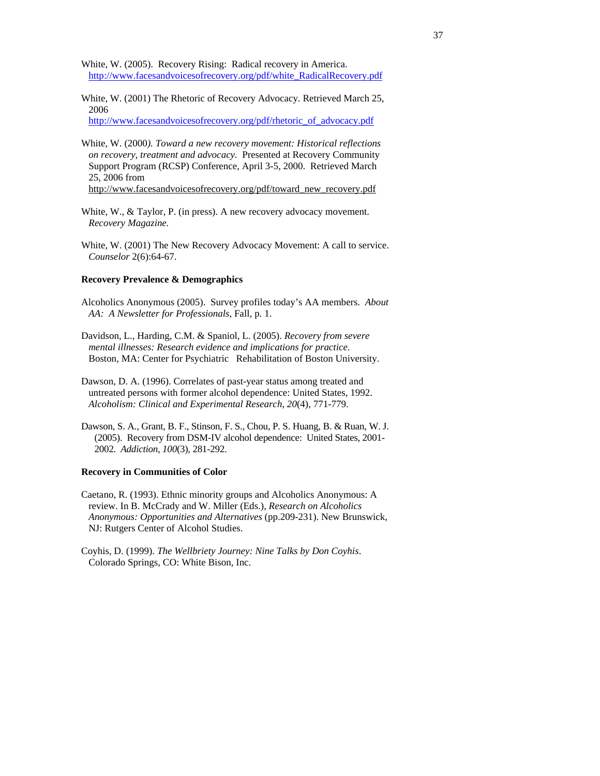- White, W. (2005). Recovery Rising: Radical recovery in America. [http://www.facesandvoicesofrecovery.org/pdf/white\\_RadicalRecovery.pdf](http://www.facesandvoicesofrecovery.org/pdf/white_RadicalRecovery.pdf)
- White, W. (2001) The Rhetoric of Recovery Advocacy. Retrieved March 25, 2006

[http://www.facesandvoicesofrecovery.org/pdf/rhetoric\\_of\\_advocacy.pdf](http://www.facesandvoicesofrecovery.org/pdf/rhetoric_of_advocacy.pdf)

White, W. (2000*). Toward a new recovery movement: Historical reflections on recovery, treatment and advocacy*. Presented at Recovery Community Support Program (RCSP) Conference, April 3-5, 2000. Retrieved March 25, 2006 from

[http://www.facesandvoicesofrecovery.org/pdf/toward\\_new\\_recovery.pdf](http://www.facesandvoicesofrecovery.org/pdf/toward_new_recovery.pdf)

- White, W., & Taylor, P. (in press). A new recovery advocacy movement. *Recovery Magazine.*
- White, W. (2001) The New Recovery Advocacy Movement: A call to service. *Counselor* 2(6):64-67.

# **Recovery Prevalence & Demographics**

- Alcoholics Anonymous (2005). Survey profiles today's AA members. *About AA: A Newsletter for Professionals*, Fall, p. 1.
- Davidson, L., Harding, C.M. & Spaniol, L. (2005). *Recovery from severe mental illnesses: Research evidence and implications for practice*. Boston, MA: Center for Psychiatric Rehabilitation of Boston University.
- Dawson, D. A. (1996). Correlates of past-year status among treated and untreated persons with former alcohol dependence: United States, 1992. *Alcoholism: Clinical and Experimental Research*, *20*(4), 771-779.
- Dawson, S. A., Grant, B. F., Stinson, F. S., Chou, P. S. Huang, B. & Ruan, W. J. (2005). Recovery from DSM-IV alcohol dependence: United States, 2001- 2002. *Addiction*, *100*(3), 281-292.

#### **Recovery in Communities of Color**

- Caetano, R. (1993). Ethnic minority groups and Alcoholics Anonymous: A review. In B. McCrady and W. Miller (Eds.), *Research on Alcoholics Anonymous: Opportunities and Alternatives* (pp.209-231). New Brunswick, NJ: Rutgers Center of Alcohol Studies.
- Coyhis, D. (1999). *The Wellbriety Journey: Nine Talks by Don Coyhis*. Colorado Springs, CO: White Bison, Inc.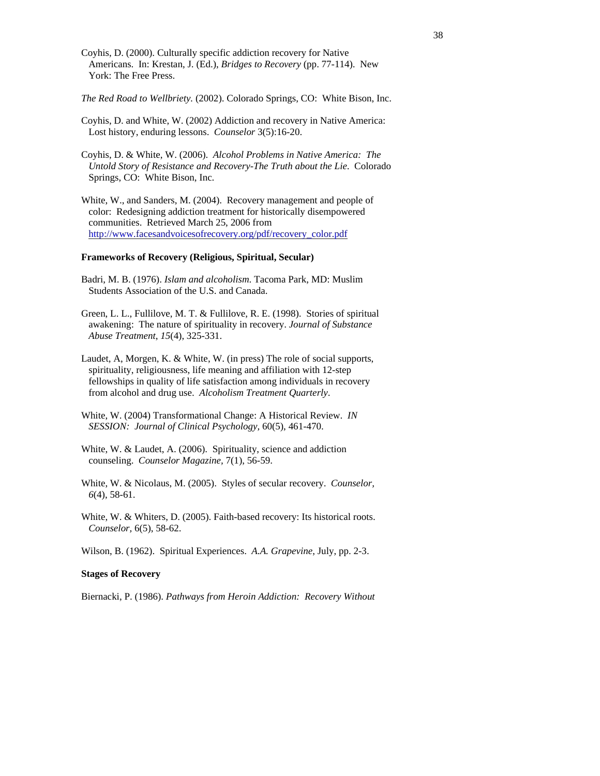Coyhis, D. (2000). Culturally specific addiction recovery for Native Americans. In: Krestan, J. (Ed.), *Bridges to Recovery* (pp. 77-114). New York: The Free Press.

*The Red Road to Wellbriety.* (2002). Colorado Springs, CO: White Bison, Inc.

- Coyhis, D. and White, W. (2002) Addiction and recovery in Native America: Lost history, enduring lessons. *Counselor* 3(5):16-20.
- Coyhis, D. & White, W. (2006). *Alcohol Problems in Native America: The Untold Story of Resistance and Recovery-The Truth about the Lie*. Colorado Springs, CO: White Bison, Inc.
- White, W., and Sanders, M. (2004). Recovery management and people of color: Redesigning addiction treatment for historically disempowered communities. Retrieved March 25, 2006 from [http://www.facesandvoicesofrecovery.org/pdf/recovery\\_color.pdf](http://www.facesandvoicesofrecovery.org/pdf/recovery_color.pdf)

### **Frameworks of Recovery (Religious, Spiritual, Secular)**

- Badri, M. B. (1976). *Islam and alcoholism*. Tacoma Park, MD: Muslim Students Association of the U.S. and Canada.
- Green, L. L., Fullilove, M. T. & Fullilove, R. E. (1998). Stories of spiritual awakening: The nature of spirituality in recovery. *Journal of Substance Abuse Treatment*, *15*(4), 325-331.
- Laudet, A, Morgen, K. & White, W. (in press) The role of social supports, spirituality, religiousness, life meaning and affiliation with 12-step fellowships in quality of life satisfaction among individuals in recovery from alcohol and drug use. *Alcoholism Treatment Quarterly*.
- White, W. (2004) Transformational Change: A Historical Review. *IN SESSION: Journal of Clinical Psychology,* 60(5), 461-470.
- White, W. & Laudet, A. (2006). Spirituality, science and addiction counseling. *Counselor Magazine,* 7(1), 56-59.
- White, W. & Nicolaus, M. (2005). Styles of secular recovery. *Counselor, 6*(4), 58-61.
- White, W. & Whiters, D. (2005). Faith-based recovery: Its historical roots. *Counselor,* 6(5), 58-62.

Wilson, B. (1962). Spiritual Experiences. *A.A. Grapevine*, July, pp. 2-3.

# **Stages of Recovery**

Biernacki, P. (1986). *Pathways from Heroin Addiction: Recovery Without*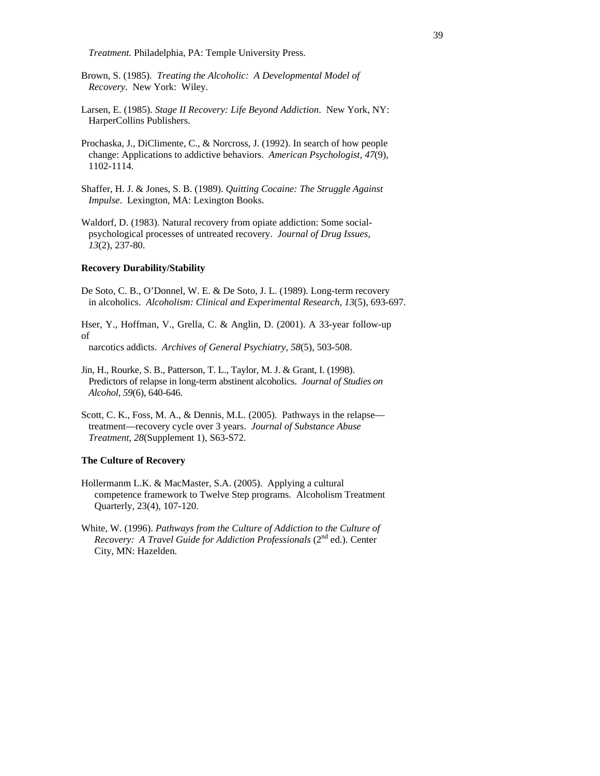*Treatment.* Philadelphia, PA: Temple University Press.

- Brown, S. (1985). *Treating the Alcoholic: A Developmental Model of Recovery*. New York: Wiley.
- Larsen, E. (1985). *Stage II Recovery: Life Beyond Addiction*. New York, NY: HarperCollins Publishers.
- Prochaska, J., DiClimente, C., & Norcross, J. (1992). In search of how people change: Applications to addictive behaviors. *American Psychologist, 47*(9)*,* 1102-1114.
- Shaffer, H. J. & Jones, S. B. (1989). *Quitting Cocaine: The Struggle Against Impulse*. Lexington, MA: Lexington Books.
- Waldorf, D. (1983). Natural recovery from opiate addiction: Some social psychological processes of untreated recovery. *Journal of Drug Issues, 13*(2), 237-80.

# **Recovery Durability/Stability**

De Soto, C. B., O'Donnel, W. E. & De Soto, J. L. (1989). Long-term recovery in alcoholics. *Alcoholism: Clinical and Experimental Research*, *13*(5), 693-697.

Hser, Y., Hoffman, V., Grella, C. & Anglin, D. (2001). A 33-year follow-up of narcotics addicts. *Archives of General Psychiatry, 58*(5), 503-508.

- Jin, H., Rourke, S. B., Patterson, T. L., Taylor, M. J. & Grant, I. (1998). Predictors of relapse in long-term abstinent alcoholics. *Journal of Studies on*
- Scott, C. K., Foss, M. A., & Dennis, M.L. (2005). Pathways in the relapse treatment—recovery cycle over 3 years. *Journal of Substance Abuse Treatment*, *28*(Supplement 1), S63-S72.

### **The Culture of Recovery**

 *Alcohol, 59*(6), 640-646.

- Hollermanm L.K. & MacMaster, S.A. (2005). Applying a cultural competence framework to Twelve Step programs. Alcoholism Treatment Quarterly, 23(4), 107-120.
- White, W. (1996). *Pathways from the Culture of Addiction to the Culture of Recovery: A Travel Guide for Addiction Professionals* (2<sup>nd</sup> ed.). Center City, MN: Hazelden.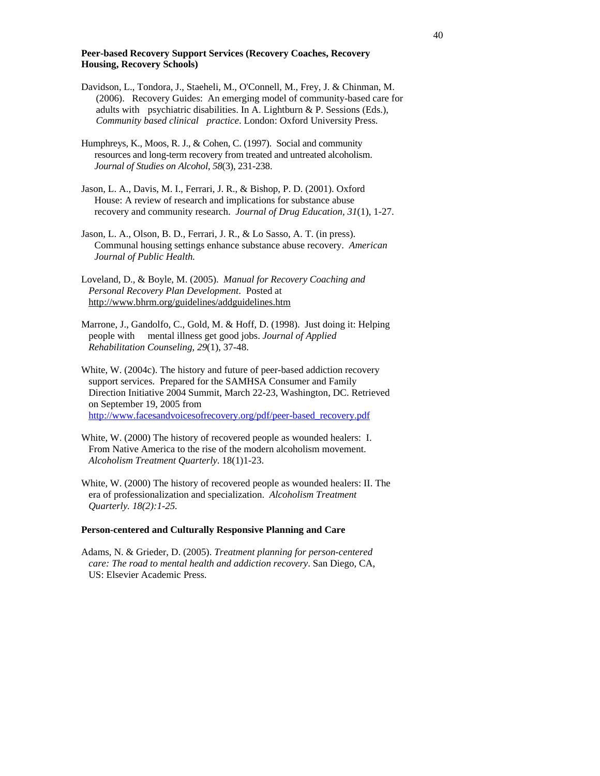# **Peer-based Recovery Support Services (Recovery Coaches, Recovery Housing, Recovery Schools)**

- Davidson, L., Tondora, J., Staeheli, M., O'Connell, M., Frey, J. & Chinman, M. (2006). Recovery Guides: An emerging model of community-based care for adults with psychiatric disabilities. In A. Lightburn & P. Sessions (Eds.), *Community based clinical practice*. London: Oxford University Press.
- Humphreys, K., Moos, R. J., & Cohen, C. (1997). Social and community resources and long-term recovery from treated and untreated alcoholism. *Journal of Studies on Alcohol*, *58*(3), 231-238.
- Jason, L. A., Davis, M. I., Ferrari, J. R., & Bishop, P. D. (2001). Oxford House: A review of research and implications for substance abuse recovery and community research. *Journal of Drug Education, 31*(1), 1-27.
- Jason, L. A., Olson, B. D., Ferrari, J. R., & Lo Sasso, A. T. (in press). Communal housing settings enhance substance abuse recovery. *American Journal of Public Health.*
- Loveland, D., & Boyle, M. (2005). *Manual for Recovery Coaching and Personal Recovery Plan Development*. Posted at <http://www.bhrm.org/guidelines/addguidelines.htm>
- Marrone, J., Gandolfo, C., Gold, M. & Hoff, D. (1998). Just doing it: Helping people with mental illness get good jobs. *Journal of Applied Rehabilitation Counseling, 29*(1), 37-48.
- White, W. (2004c). The history and future of peer-based addiction recovery support services. Prepared for the SAMHSA Consumer and Family Direction Initiative 2004 Summit, March 22-23, Washington, DC. Retrieved on September 19, 2005 from [http://www.facesandvoicesofrecovery.org/pdf/peer-based\\_recovery.pdf](http://www.facesandvoicesofrecovery.org/pdf/peer-based_recovery.pdf)
- White, W. (2000) The history of recovered people as wounded healers: I. From Native America to the rise of the modern alcoholism movement. *Alcoholism Treatment Quarterly*. 18(1)1-23.
- White, W. (2000) The history of recovered people as wounded healers: II. The era of professionalization and specialization. *Alcoholism Treatment Quarterly. 18(2):1-25.*

## **Person-centered and Culturally Responsive Planning and Care**

Adams, N. & Grieder, D. (2005). *Treatment planning for person-centered care: The road to mental health and addiction recovery*. San Diego, CA, US: Elsevier Academic Press.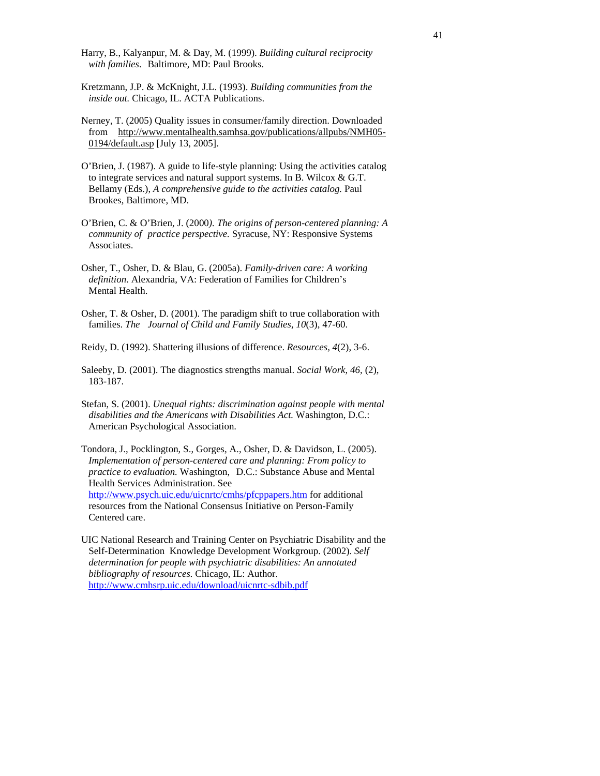- Harry, B., Kalyanpur, M. & Day, M. (1999). *Building cultural reciprocity with families*. Baltimore, MD: Paul Brooks.
- Kretzmann, J.P. & McKnight, J.L. (1993). *Building communities from the inside out.* Chicago, IL. ACTA Publications.
- Nerney, T. (2005) Quality issues in consumer/family direction. Downloaded from [http://www.mentalhealth.samhsa.gov/publications/allpubs/NMH05-](http://www.mentalhealth.samhsa.gov/publications/allpubs/NMH05-0194/default.asp) [0194/default.asp](http://www.mentalhealth.samhsa.gov/publications/allpubs/NMH05-0194/default.asp) [July 13, 2005].
- O'Brien, J. (1987). A guide to life-style planning: Using the activities catalog to integrate services and natural support systems. In B. Wilcox & G.T. Bellamy (Eds.), *A comprehensive guide to the activities catalog.* Paul Brookes, Baltimore, MD.
- O'Brien, C. & O'Brien, J. (2000*). The origins of person-centered planning: A community of practice perspective.* Syracuse, NY: Responsive Systems Associates.
- Osher, T., Osher, D. & Blau, G. (2005a). *Family-driven care: A working definition*. Alexandria, VA: Federation of Families for Children's Mental Health.
- Osher, T. & Osher, D. (2001). The paradigm shift to true collaboration with families. *The Journal of Child and Family Studies, 10*(3), 47-60.
- Reidy, D. (1992). Shattering illusions of difference. *Resources, 4*(2), 3-6.
- Saleeby, D. (2001). The diagnostics strengths manual. *Social Work, 46,* (2), 183-187.
- Stefan, S. (2001). *Unequal rights: discrimination against people with mental disabilities and the Americans with Disabilities Act.* Washington, D.C.: American Psychological Association.
- Tondora, J., Pocklington, S., Gorges, A., Osher, D. & Davidson, L. (2005). *Implementation of person-centered care and planning: From policy to practice to evaluation.* Washington, D.C.: Substance Abuse and Mental Health Services Administration. See <http://www.psych.uic.edu/uicnrtc/cmhs/pfcppapers.htm>for additional resources from the National Consensus Initiative on Person-Family Centered care.
- UIC National Research and Training Center on Psychiatric Disability and the Self-Determination Knowledge Development Workgroup. (2002). *Self determination for people with psychiatric disabilities: An annotated bibliography of resources.* Chicago, IL: Author. <http://www.cmhsrp.uic.edu/download/uicnrtc-sdbib.pdf>